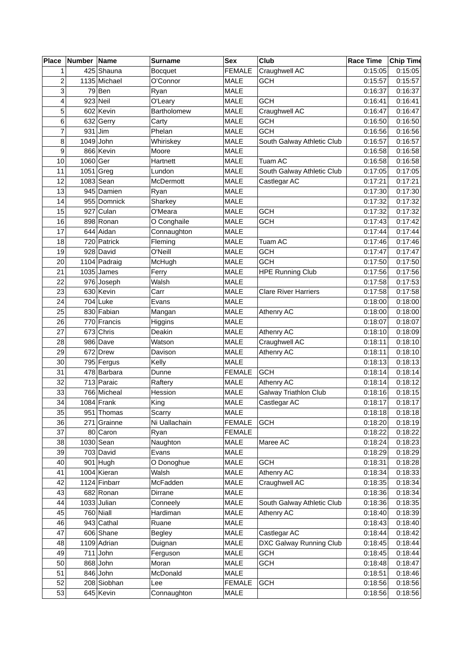| Place          | Number Name |               | <b>Surname</b> | <b>Sex</b>    | Club                        | <b>Race Time</b> | <b>Chip Time</b> |
|----------------|-------------|---------------|----------------|---------------|-----------------------------|------------------|------------------|
| 1              |             | 425 Shauna    | <b>Bocquet</b> | <b>FEMALE</b> | Craughwell AC               | 0:15:05          | 0:15:05          |
| $\overline{c}$ |             | 1135 Michael  | O'Connor       | <b>MALE</b>   | <b>GCH</b>                  | 0:15:57          | 0:15:57          |
| 3              |             | $79$ Ben      | Ryan           | <b>MALE</b>   |                             | 0:16:37          | 0:16:37          |
| 4              |             | $923$ Neil    | O'Leary        | <b>MALE</b>   | <b>GCH</b>                  | 0:16:41          | 0:16:41          |
| 5              |             | 602 Kevin     | Bartholomew    | <b>MALE</b>   | Craughwell AC               | 0:16:47          | 0:16:47          |
| 6              |             | $632$ Gerry   | Carty          | <b>MALE</b>   | <b>GCH</b>                  | 0:16:50          | 0:16:50          |
| $\overline{7}$ |             | $931$ Jim     | Phelan         | <b>MALE</b>   | <b>GCH</b>                  | 0:16:56          | 0:16:56          |
| 8              |             | $1049$ John   | Whiriskey      | MALE          | South Galway Athletic Club  | 0:16:57          | 0:16:57          |
| 9              |             | 866 Kevin     | Moore          | <b>MALE</b>   |                             | 0:16:58          | 0:16:58          |
| 10             | $1060$ Ger  |               | Hartnett       | <b>MALE</b>   | Tuam AC                     | 0:16:58          | 0:16:58          |
| 11             |             | $1051$ Greg   | Lundon         | <b>MALE</b>   | South Galway Athletic Club  | 0:17:05          | 0:17:05          |
| 12             |             | $1083$ Sean   | McDermott      | <b>MALE</b>   | Castlegar AC                | 0:17:21          | 0:17:21          |
| 13             |             | 945 Damien    | Ryan           | <b>MALE</b>   |                             | 0:17:30          | 0:17:30          |
| 14             |             | 955 Domnick   | Sharkey        | MALE          |                             | 0:17:32          | 0:17:32          |
| 15             |             | 927 Culan     | O'Meara        | MALE          | <b>GCH</b>                  | 0:17:32          | 0:17:32          |
| 16             |             | 898 Ronan     | O Conghaile    | MALE          | <b>GCH</b>                  | 0:17:43          | 0:17:42          |
| 17             |             | 644 Aidan     | Connaughton    | <b>MALE</b>   |                             | 0:17:44          | 0:17:44          |
| 18             |             | 720 Patrick   | Fleming        | <b>MALE</b>   | Tuam AC                     | 0:17:46          | 0:17:46          |
| 19             |             | $928$ David   | O'Neill        | <b>MALE</b>   | <b>GCH</b>                  | 0:17:47          | 0:17:47          |
| 20             |             | 1104 Padraig  | McHugh         | <b>MALE</b>   | <b>GCH</b>                  | 0:17:50          | 0:17:50          |
| 21             |             | $1035$ James  | Ferry          | <b>MALE</b>   | <b>HPE Running Club</b>     | 0:17:56          | 0:17:56          |
| 22             |             | 976 Joseph    | Walsh          | MALE          |                             | 0:17:58          | 0:17:53          |
| 23             |             | 630 Kevin     | Carr           | MALE          | <b>Clare River Harriers</b> | 0:17:58          | 0:17:58          |
| 24             |             | $704$ Luke    | Evans          | <b>MALE</b>   |                             | 0:18:00          | 0:18:00          |
| 25             |             | 830 Fabian    | Mangan         | <b>MALE</b>   | <b>Athenry AC</b>           | 0:18:00          | 0:18:00          |
| 26             |             | 770 Francis   | Higgins        | <b>MALE</b>   |                             | 0:18:07          | 0:18:07          |
| 27             |             | $673$ Chris   | Deakin         | <b>MALE</b>   | Athenry AC                  | 0:18:10          | 0:18:09          |
| 28             |             | 986 Dave      | Watson         | MALE          | Craughwell AC               | 0:18:11          | 0:18:10          |
| 29             |             | 672 Drew      | Davison        | MALE          | Athenry AC                  | 0:18:11          | 0:18:10          |
| 30             |             | 795 Fergus    | Kelly          | <b>MALE</b>   |                             | 0:18:13          | 0:18:13          |
| 31             |             | 478 Barbara   | Dunne          | <b>FEMALE</b> | <b>GCH</b>                  | 0:18:14          | 0:18:14          |
| 32             |             | 713 Paraic    | Raftery        | <b>MALE</b>   | Athenry AC                  | 0:18:14          | 0:18:12          |
| 33             |             | 766 Micheal   | Hession        | <b>MALE</b>   | Galway Triathlon Club       | 0:18:16          | 0:18:15          |
| 34             |             | $1084$ Frank  | King           | <b>MALE</b>   | Castlegar AC                | 0:18:17          | 0:18:17          |
| 35             |             | 951 Thomas    | Scarry         | MALE          |                             | 0:18:18          | 0:18:18          |
| 36             |             | 271 Grainne   | Ni Uallachain  | <b>FEMALE</b> | <b>GCH</b>                  | 0:18:20          | 0:18:19          |
| 37             |             | 80 Caron      | Ryan           | <b>FEMALE</b> |                             | 0:18:22          | 0:18:22          |
| 38             |             | $1030$ Sean   | Naughton       | MALE          | Maree AC                    | 0:18:24          | 0:18:23          |
| 39             |             | 703 David     | Evans          | <b>MALE</b>   |                             | 0:18:29          | 0:18:29          |
| 40             |             | $901$ Hugh    | O Donoghue     | MALE          | <b>GCH</b>                  | 0:18:31          | 0:18:28          |
| 41             |             | 1004 Kieran   | Walsh          | MALE          | Athenry AC                  | 0:18:34          | 0:18:33          |
| 42             |             | 1124 Finbarr  | McFadden       | MALE          | Craughwell AC               | 0:18:35          | 0:18:34          |
| 43             |             | 682 Ronan     | Dirrane        | MALE          |                             | 0:18:36          | 0:18:34          |
| 44             |             | $1033$ Julian | Conneely       | MALE          | South Galway Athletic Club  | 0:18:36          | 0:18:35          |
| 45             |             | $760$ Niall   | Hardiman       | <b>MALE</b>   | Athenry AC                  | 0:18:40          | 0:18:39          |
| 46             |             | $943$ Cathal  | Ruane          | <b>MALE</b>   |                             | 0:18:43          | 0:18:40          |
| 47             |             | 606 Shane     | <b>Begley</b>  | MALE          | Castlegar AC                | 0:18:44          | 0:18:42          |
| 48             |             | $1109$ Adrian | Duignan        | MALE          | DXC Galway Running Club     | 0:18:45          | 0:18:44          |
| 49             |             | $711$ John    | Ferguson       | MALE          | <b>GCH</b>                  | 0:18:45          | 0:18:44          |
| 50             |             | $868$ John    | Moran          | MALE          | <b>GCH</b>                  | 0:18:48          | 0:18:47          |
| 51             |             | $846$ John    | McDonald       | MALE          |                             | 0:18:51          | 0:18:46          |
| 52             |             | 208 Siobhan   | Lee            | <b>FEMALE</b> | <b>GCH</b>                  | 0:18:56          | 0:18:56          |
| 53             |             | 645 Kevin     | Connaughton    | MALE          |                             | 0:18:56          | 0:18:56          |
|                |             |               |                |               |                             |                  |                  |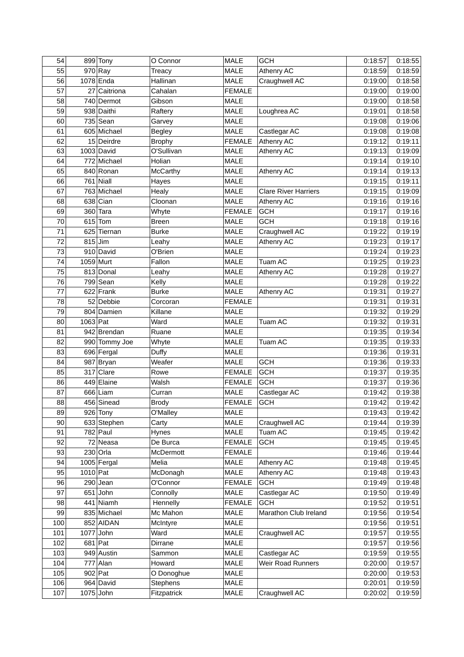| 54  |             | 899 Tony                 | O Connor        | <b>MALE</b>   | <b>GCH</b>                  | 0:18:57 | 0:18:55 |
|-----|-------------|--------------------------|-----------------|---------------|-----------------------------|---------|---------|
| 55  |             | $970$ Ray                | Treacy          | <b>MALE</b>   | Athenry AC                  | 0:18:59 | 0:18:59 |
| 56  |             | 1078 Enda                | Hallinan        | <b>MALE</b>   | Craughwell AC               | 0:19:00 | 0:18:58 |
| 57  |             | 27 Caitriona             | Cahalan         | <b>FEMALE</b> |                             | 0:19:00 | 0:19:00 |
| 58  |             | 740 Dermot               | Gibson          | <b>MALE</b>   |                             | 0:19:00 | 0:18:58 |
| 59  |             | 938 Daithi               | Raftery         | <b>MALE</b>   | Loughrea AC                 | 0:19:01 | 0:18:58 |
| 60  |             | $735$ Sean               | Garvey          | <b>MALE</b>   |                             | 0:19:08 | 0:19:06 |
| 61  |             | 605 Michael              | <b>Begley</b>   | <b>MALE</b>   | Castlegar AC                | 0:19:08 | 0:19:08 |
| 62  |             | 15 Deirdre               | <b>Brophy</b>   | <b>FEMALE</b> | Athenry AC                  | 0:19:12 | 0:19:11 |
| 63  |             | $1003$ David             | O'Sullivan      | <b>MALE</b>   | Athenry AC                  | 0:19:13 | 0:19:09 |
| 64  |             | 772 Michael              | Holian          | <b>MALE</b>   |                             | 0:19:14 | 0:19:10 |
| 65  |             | 840 Ronan                | McCarthy        | <b>MALE</b>   | Athenry AC                  | 0:19:14 | 0:19:13 |
| 66  |             | $761$ Niall              | Hayes           | <b>MALE</b>   |                             | 0:19:15 | 0:19:11 |
| 67  |             | 763 Michael              | Healy           | <b>MALE</b>   | <b>Clare River Harriers</b> | 0:19:15 | 0:19:09 |
| 68  |             | $638$ Cian               | Cloonan         | <b>MALE</b>   | Athenry AC                  | 0:19:16 | 0:19:16 |
| 69  | 360         | Tara                     | Whyte           | <b>FEMALE</b> | <b>GCH</b>                  | 0:19:17 | 0:19:16 |
| 70  | 615         | Tom                      | <b>Breen</b>    | <b>MALE</b>   | GCH                         | 0:19:18 | 0:19:16 |
| 71  |             | 625 Tiernan              | <b>Burke</b>    | <b>MALE</b>   | Craughwell AC               | 0:19:22 | 0:19:19 |
| 72  | $815$ Jim   |                          | Leahy           | <b>MALE</b>   | Athenry AC                  | 0:19:23 | 0:19:17 |
| 73  |             | $910$ David              | O'Brien         | <b>MALE</b>   |                             | 0:19:24 | 0:19:23 |
| 74  | $1059$ Murt |                          | Fallon          | <b>MALE</b>   | Tuam AC                     | 0:19:25 | 0:19:23 |
| 75  |             | 813 Donal                | Leahy           | <b>MALE</b>   | Athenry AC                  | 0:19:28 | 0:19:27 |
| 76  |             | $799$ Sean               | Kelly           | <b>MALE</b>   |                             | 0:19:28 | 0:19:22 |
| 77  |             | 622 Frank                | <b>Burke</b>    | <b>MALE</b>   | Athenry AC                  | 0:19:31 | 0:19:27 |
| 78  |             | 52 Debbie                | Corcoran        | <b>FEMALE</b> |                             | 0:19:31 | 0:19:31 |
| 79  |             | 804 Damien               | Killane         | <b>MALE</b>   |                             | 0:19:32 | 0:19:29 |
| 80  | 1063 Pat    |                          | Ward            | <b>MALE</b>   | Tuam AC                     | 0:19:32 | 0:19:31 |
| 81  |             | 942 Brendan              | Ruane           | <b>MALE</b>   |                             | 0:19:35 | 0:19:34 |
| 82  |             | 990 Tommy Joe            |                 | <b>MALE</b>   | Tuam AC                     | 0:19:35 | 0:19:33 |
| 83  |             |                          | Whyte           |               |                             |         | 0:19:31 |
| 84  |             | 696 Fergal               | Duffy           | MALE          | <b>GCH</b>                  | 0:19:36 |         |
| 85  |             | 987 Bryan<br>$317$ Clare | Weafer          | <b>MALE</b>   | <b>GCH</b>                  | 0:19:36 | 0:19:33 |
|     |             | 449 Elaine               | Rowe            | <b>FEMALE</b> | <b>GCH</b>                  | 0:19:37 | 0:19:35 |
| 86  |             |                          | Walsh           | <b>FEMALE</b> |                             | 0:19:37 | 0:19:36 |
| 87  |             | 666 Liam                 | Curran          | <b>MALE</b>   | Castlegar AC                | 0:19:42 | 0:19:38 |
| 88  |             | 456 Sinead               | <b>Brody</b>    | <b>FEMALE</b> | <b>GCH</b>                  | 0:19:42 | 0:19:42 |
| 89  |             | $926$ Tony               | O'Malley        | MALE          |                             | 0:19:43 | 0:19:42 |
| 90  |             | 633 Stephen              | Carty           | <b>MALE</b>   | Craughwell AC               | 0:19:44 | 0:19:39 |
| 91  |             | 782 Paul                 | Hynes           | MALE          | Tuam AC                     | 0:19:45 | 0:19:42 |
| 92  |             | 72 Neasa                 | De Burca        | <b>FEMALE</b> | <b>GCH</b>                  | 0:19:45 | 0:19:45 |
| 93  |             | $230$ Orla               | McDermott       | <b>FEMALE</b> |                             | 0:19:46 | 0:19:44 |
| 94  |             | $1005$ Fergal            | Melia           | MALE          | Athenry AC                  | 0:19:48 | 0:19:45 |
| 95  | $1010$ Pat  |                          | McDonagh        | MALE          | Athenry AC                  | 0:19:48 | 0:19:43 |
| 96  |             | $290$ Jean               | O'Connor        | <b>FEMALE</b> | <b>GCH</b>                  | 0:19:49 | 0:19:48 |
| 97  | 651         | John                     | Connolly        | MALE          | Castlegar AC                | 0:19:50 | 0:19:49 |
| 98  | 441         | Niamh                    | Hennelly        | <b>FEMALE</b> | <b>GCH</b>                  | 0:19:52 | 0:19:51 |
| 99  |             | 835 Michael              | Mc Mahon        | <b>MALE</b>   | Marathon Club Ireland       | 0:19:56 | 0:19:54 |
| 100 |             | 852 AIDAN                | McIntyre        | <b>MALE</b>   |                             | 0:19:56 | 0:19:51 |
| 101 |             | $1077$ John              | Ward            | MALE          | Craughwell AC               | 0:19:57 | 0:19:55 |
| 102 |             | $681$ Pat                | Dirrane         | <b>MALE</b>   |                             | 0:19:57 | 0:19:56 |
| 103 |             | 949 Austin               | Sammon          | MALE          | Castlegar AC                | 0:19:59 | 0:19:55 |
| 104 |             | $777$ Alan               | Howard          | MALE          | Weir Road Runners           | 0:20:00 | 0:19:57 |
| 105 |             | $902$ Pat                | O Donoghue      | <b>MALE</b>   |                             | 0:20:00 | 0:19:53 |
| 106 |             | 964 David                | <b>Stephens</b> | <b>MALE</b>   |                             | 0:20:01 | 0:19:59 |
| 107 |             | $1075$ John              | Fitzpatrick     | MALE          | Craughwell AC               | 0:20:02 | 0:19:59 |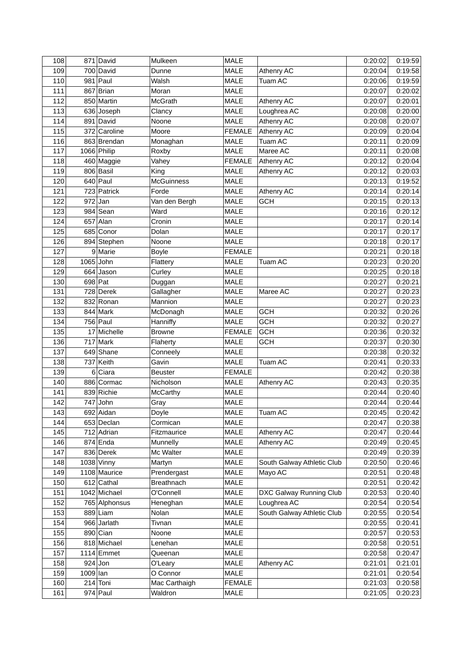| 108 |             | 871 David     | Mulkeen           | <b>MALE</b>   |                            | 0:20:02 | 0:19:59 |
|-----|-------------|---------------|-------------------|---------------|----------------------------|---------|---------|
| 109 |             | 700 David     | Dunne             | <b>MALE</b>   | Athenry AC                 | 0:20:04 | 0:19:58 |
| 110 |             | $981$ Paul    | Walsh             | <b>MALE</b>   | Tuam AC                    | 0:20:06 | 0:19:59 |
| 111 |             | 867 Brian     | Moran             | <b>MALE</b>   |                            | 0:20:07 | 0:20:02 |
| 112 |             | 850 Martin    | McGrath           | <b>MALE</b>   | <b>Athenry AC</b>          | 0:20:07 | 0:20:01 |
| 113 |             | 636 Joseph    | Clancy            | <b>MALE</b>   | Loughrea AC                | 0:20:08 | 0:20:00 |
| 114 |             | 891 David     | Noone             | <b>MALE</b>   | Athenry AC                 | 0:20:08 | 0:20:07 |
| 115 |             | 372 Caroline  | Moore             | <b>FEMALE</b> | Athenry AC                 | 0:20:09 | 0:20:04 |
| 116 |             | 863 Brendan   | Monaghan          | MALE          | Tuam AC                    | 0:20:11 | 0:20:09 |
| 117 |             | 1066 Philip   | Roxby             | <b>MALE</b>   | Maree AC                   | 0:20:11 | 0:20:08 |
| 118 |             | 460 Maggie    | Vahey             | <b>FEMALE</b> | Athenry AC                 | 0:20:12 | 0:20:04 |
| 119 |             | 806 Basil     | King              | <b>MALE</b>   | Athenry AC                 | 0:20:12 | 0:20:03 |
| 120 |             | $640$ Paul    | <b>McGuinness</b> | <b>MALE</b>   |                            | 0:20:13 | 0:19:52 |
| 121 |             | 723 Patrick   | Forde             | <b>MALE</b>   | Athenry AC                 | 0:20:14 | 0:20:14 |
| 122 | $972$ Jan   |               | Van den Bergh     | <b>MALE</b>   | <b>GCH</b>                 | 0:20:15 | 0:20:13 |
| 123 |             | $984$ Sean    | Ward              | <b>MALE</b>   |                            | 0:20:16 | 0:20:12 |
| 124 |             | $657$ Alan    | Cronin            | <b>MALE</b>   |                            | 0:20:17 | 0:20:14 |
| 125 |             | 685 Conor     | Dolan             | <b>MALE</b>   |                            | 0:20:17 | 0:20:17 |
| 126 |             | 894 Stephen   | Noone             | <b>MALE</b>   |                            | 0:20:18 | 0:20:17 |
| 127 |             | 9 Marie       | <b>Boyle</b>      | <b>FEMALE</b> |                            | 0:20:21 | 0:20:18 |
| 128 | $1065$ John |               | Flattery          | <b>MALE</b>   | Tuam AC                    | 0:20:23 | 0:20:20 |
| 129 |             | $664$ Jason   | Curley            | <b>MALE</b>   |                            | 0:20:25 | 0:20:18 |
| 130 | $698$ Pat   |               | Duggan            | <b>MALE</b>   |                            | 0:20:27 | 0:20:21 |
| 131 |             | 728 Derek     | Gallagher         | <b>MALE</b>   | Maree AC                   | 0:20:27 | 0:20:23 |
| 132 |             | 832 Ronan     | Mannion           | <b>MALE</b>   |                            | 0:20:27 | 0:20:23 |
| 133 |             | 844 Mark      | McDonagh          | <b>MALE</b>   | <b>GCH</b>                 | 0:20:32 | 0:20:26 |
| 134 |             | 756 Paul      | Hanniffy          | <b>MALE</b>   | <b>GCH</b>                 | 0:20:32 | 0:20:27 |
| 135 |             | 17 Michelle   | <b>Browne</b>     | <b>FEMALE</b> | <b>GCH</b>                 | 0:20:36 | 0:20:32 |
| 136 |             | $717$ Mark    | Flaherty          | MALE          | <b>GCH</b>                 | 0:20:37 | 0:20:30 |
| 137 |             | $649$ Shane   | Conneely          | <b>MALE</b>   |                            | 0:20:38 | 0:20:32 |
| 138 |             | $737$ Keith   | Gavin             | <b>MALE</b>   | Tuam AC                    | 0:20:41 | 0:20:33 |
| 139 |             | $6 Ci$ ara    | <b>Beuster</b>    | <b>FEMALE</b> |                            | 0:20:42 | 0:20:38 |
| 140 |             | 886 Cormac    | Nicholson         | <b>MALE</b>   | Athenry AC                 | 0:20:43 | 0:20:35 |
| 141 |             | 839 Richie    | <b>McCarthy</b>   | <b>MALE</b>   |                            | 0:20:44 | 0:20:40 |
| 142 |             | $747$ John    |                   | <b>MALE</b>   |                            | 0:20:44 | 0:20:44 |
| 143 |             | 692 Aidan     | Gray<br>Doyle     |               | Tuam AC                    |         | 0:20:42 |
|     |             |               |                   | MALE          |                            | 0:20:45 |         |
| 144 |             | 653 Declan    | Cormican          | <b>MALE</b>   |                            | 0:20:47 | 0:20:38 |
| 145 |             | 712 Adrian    | Fitzmaurice       | <b>MALE</b>   | Athenry AC                 | 0:20:47 | 0:20:44 |
| 146 |             | $874$ Enda    | Munnelly          | <b>MALE</b>   | Athenry AC                 | 0:20:49 | 0:20:45 |
| 147 |             | 836 Derek     | Mc Walter         | <b>MALE</b>   |                            | 0:20:49 | 0:20:39 |
| 148 |             | $1038$ Vinny  | Martyn            | <b>MALE</b>   | South Galway Athletic Club | 0:20:50 | 0:20:46 |
| 149 |             | 1108 Maurice  | Prendergast       | <b>MALE</b>   | Mayo AC                    | 0:20:51 | 0:20:48 |
| 150 |             | $612$ Cathal  | <b>Breathnach</b> | MALE          |                            | 0:20:51 | 0:20:42 |
| 151 |             | 1042 Michael  | O'Connell         | <b>MALE</b>   | DXC Galway Running Club    | 0:20:53 | 0:20:40 |
| 152 |             | 765 Alphonsus | Heneghan          | <b>MALE</b>   | Loughrea AC                | 0:20:54 | 0:20:54 |
| 153 |             | $889$  Liam   | Nolan             | <b>MALE</b>   | South Galway Athletic Club | 0:20:55 | 0:20:54 |
| 154 |             | 966 Jarlath   | Tivnan            | <b>MALE</b>   |                            | 0:20:55 | 0:20:41 |
| 155 |             | $890$ Cian    | Noone             | <b>MALE</b>   |                            | 0:20:57 | 0:20:53 |
| 156 |             | 818 Michael   | Lenehan           | MALE          |                            | 0:20:58 | 0:20:51 |
| 157 |             | $1114$ Emmet  | Queenan           | MALE          |                            | 0:20:58 | 0:20:47 |
| 158 | $924$ Jon   |               | O'Leary           | MALE          | Athenry AC                 | 0:21:01 | 0:21:01 |
| 159 | $1009$  lan |               | O Connor          | <b>MALE</b>   |                            | 0:21:01 | 0:20:54 |
| 160 |             | $214$ Toni    | Mac Carthaigh     | <b>FEMALE</b> |                            | 0:21:03 | 0:20:58 |
| 161 |             | $974$ Paul    | Waldron           | MALE          |                            | 0:21:05 | 0:20:23 |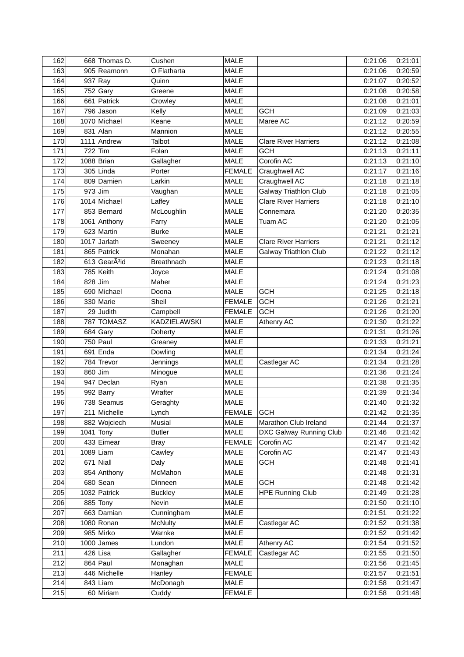| 162 |           | 668 Thomas D.             | Cushen            | <b>MALE</b>   |                              | 0:21:06 | 0:21:01            |
|-----|-----------|---------------------------|-------------------|---------------|------------------------------|---------|--------------------|
| 163 |           | 905 Reamonn               | O Flatharta       | <b>MALE</b>   |                              | 0:21:06 | 0:20:59            |
| 164 |           | 937 Ray                   | Quinn             | <b>MALE</b>   |                              | 0:21:07 | 0:20:52            |
| 165 |           | $752$ Gary                | Greene            | <b>MALE</b>   |                              | 0:21:08 | 0:20:58            |
| 166 |           | 661 Patrick               | Crowley           | <b>MALE</b>   |                              | 0:21:08 | 0:21:01            |
| 167 |           | 796 Jason                 | Kelly             | <b>MALE</b>   | <b>GCH</b>                   | 0:21:09 | 0:21:03            |
| 168 |           | 1070 Michael              | Keane             | <b>MALE</b>   | Maree AC                     | 0:21:12 | 0:20:59            |
| 169 |           | $831$ Alan                | Mannion           | <b>MALE</b>   |                              | 0:21:12 | 0:20:55            |
| 170 |           | 1111 Andrew               | Talbot            | <b>MALE</b>   | <b>Clare River Harriers</b>  | 0:21:12 | 0:21:08            |
| 171 | 722       | Tim                       | Folan             | <b>MALE</b>   | <b>GCH</b>                   | 0:21:13 | 0:21:11            |
| 172 |           | $1088$ Brian              | Gallagher         | <b>MALE</b>   | Corofin AC                   | 0:21:13 | 0:21:10            |
| 173 |           | $305$ Linda               | Porter            | <b>FEMALE</b> | Craughwell AC                | 0:21:17 | 0:21:16            |
| 174 |           | 809 Damien                | Larkin            | <b>MALE</b>   | Craughwell AC                | 0:21:18 | 0:21:18            |
| 175 | $973$ Jim |                           | Vaughan           | <b>MALE</b>   | Galway Triathlon Club        | 0:21:18 | 0:21:05            |
| 176 |           | 1014 Michael              | Laffey            | <b>MALE</b>   | <b>Clare River Harriers</b>  | 0:21:18 | 0:21:10            |
| 177 |           | 853 Bernard               | McLoughlin        | <b>MALE</b>   | Connemara                    | 0:21:20 | 0:20:35            |
| 178 |           | 1061 Anthony              | Farry             | <b>MALE</b>   | Tuam AC                      | 0:21:20 | 0:21:05            |
| 179 |           | 623 Martin                | <b>Burke</b>      | <b>MALE</b>   |                              | 0:21:21 | 0:21:21            |
| 180 |           | 1017 Jarlath              | Sweeney           | <b>MALE</b>   | <b>Clare River Harriers</b>  | 0:21:21 | 0:21:12            |
| 181 |           | 865 Patrick               | Monahan           | <b>MALE</b>   | <b>Galway Triathlon Club</b> | 0:21:22 | 0:21:12            |
| 182 |           | 613 GearA <sup>3</sup> id | <b>Breathnach</b> | <b>MALE</b>   |                              | 0:21:23 | 0:21:18            |
| 183 |           | 785 Keith                 | Joyce             | <b>MALE</b>   |                              | 0:21:24 | 0:21:08            |
| 184 | 828       | Jim                       | Maher             | <b>MALE</b>   |                              | 0:21:24 | 0:21:23            |
| 185 | 690       | Michael                   | Doona             | <b>MALE</b>   | <b>GCH</b>                   | 0:21:25 | 0:21:18            |
| 186 |           | 330 Marie                 | Sheil             | <b>FEMALE</b> | <b>GCH</b>                   | 0:21:26 | 0:21:21            |
| 187 | 29        | Judith                    | Campbell          | <b>FEMALE</b> | <b>GCH</b>                   | 0:21:26 | 0:21:20            |
| 188 |           | 787 TOMASZ                | KADZIELAWSKI      | <b>MALE</b>   | Athenry AC                   | 0:21:30 | 0:21:22            |
| 189 |           | $684$ Gary                | Doherty           | <b>MALE</b>   |                              | 0:21:31 | 0:21:26            |
| 190 |           | $\overline{750}$ Paul     | Greaney           | <b>MALE</b>   |                              | 0:21:33 | 0:21:21            |
| 191 |           | $691$ Enda                | Dowling           | <b>MALE</b>   |                              | 0:21:34 | 0:21:24            |
| 192 | 784       | Trevor                    | Jennings          | <b>MALE</b>   | Castlegar AC                 | 0:21:34 | 0:21:28            |
| 193 | $860$ Jim |                           | Minogue           | <b>MALE</b>   |                              | 0:21:36 | 0:21:24            |
| 194 |           | 947 Declan                | Ryan              | <b>MALE</b>   |                              | 0:21:38 | 0:21:35            |
| 195 |           | 992 Barry                 | Wrafter           | <b>MALE</b>   |                              | 0:21:39 | 0:21:34            |
| 196 |           | 738 Seamus                |                   | <b>MALE</b>   |                              | 0:21:40 | 0:21:32            |
| 197 |           | 211 Michelle              | Geraghty<br>Lynch | <b>FEMALE</b> |                              |         |                    |
|     |           |                           |                   |               | <b>GCH</b>                   | 0:21:42 | 0:21:35            |
| 198 |           | 882 Wojciech              | Musial            | MALE          | Marathon Club Ireland        | 0:21:44 | 0:21:37<br>0:21:42 |
| 199 |           | $1041$ Tony               | <b>Butler</b>     | MALE          | DXC Galway Running Club      | 0:21:46 |                    |
| 200 |           | 433 Eimear                | <b>Bray</b>       | <b>FEMALE</b> | Corofin AC                   | 0:21:47 | 0:21:42            |
| 201 |           | $1089$ Liam               | Cawley            | <b>MALE</b>   | Corofin AC                   | 0:21:47 | 0:21:43            |
| 202 |           | $671$ Niall               | Daly              | MALE          | <b>GCH</b>                   | 0:21:48 | 0:21:41            |
| 203 |           | 854 Anthony               | McMahon           | MALE          |                              | 0:21:48 | 0:21:31            |
| 204 |           | 680 Sean                  | Dinneen           | MALE          | <b>GCH</b>                   | 0:21:48 | 0:21:42            |
| 205 |           | 1032 Patrick              | <b>Buckley</b>    | <b>MALE</b>   | <b>HPE Running Club</b>      | 0:21:49 | 0:21:28            |
| 206 |           | 885 Tony                  | Nevin             | <b>MALE</b>   |                              | 0:21:50 | 0:21:10            |
| 207 |           | 663 Damian                | Cunningham        | MALE          |                              | 0:21:51 | 0:21:22            |
| 208 |           | 1080 Ronan                | <b>McNulty</b>    | <b>MALE</b>   | Castlegar AC                 | 0:21:52 | 0:21:38            |
| 209 |           | 985 Mirko                 | Warnke            | MALE          |                              | 0:21:52 | 0:21:42            |
| 210 |           | $1000$ James              | Lundon            | MALE          | Athenry AC                   | 0:21:54 | 0:21:52            |
| 211 |           | $426$ Lisa                | Gallagher         | <b>FEMALE</b> | Castlegar AC                 | 0:21:55 | 0:21:50            |
| 212 |           | 864 Paul                  | Monaghan          | <b>MALE</b>   |                              | 0:21:56 | 0:21:45            |
| 213 |           | 446 Michelle              | Hanley            | <b>FEMALE</b> |                              | 0:21:57 | 0:21:51            |
| 214 |           | $843$ Liam                | McDonagh          | <b>MALE</b>   |                              | 0:21:58 | 0:21:47            |
| 215 |           | 60 Miriam                 | Cuddy             | <b>FEMALE</b> |                              | 0:21:58 | 0:21:48            |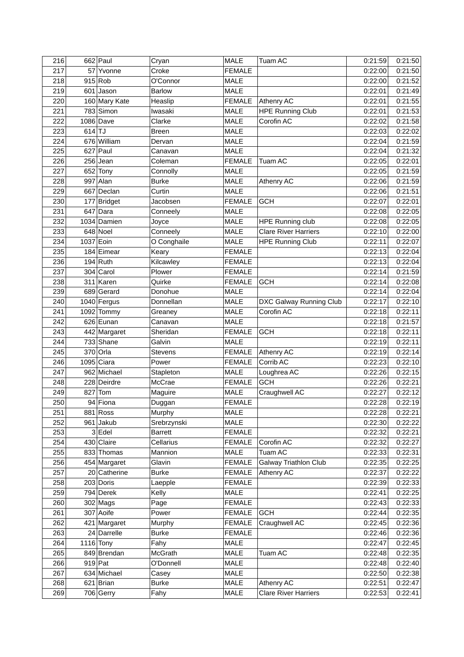| 216        |             | $662$ Paul    | Cryan          | <b>MALE</b>   | Tuam AC                      | 0:21:59 | 0:21:50            |
|------------|-------------|---------------|----------------|---------------|------------------------------|---------|--------------------|
| 217        |             | 57 Yvonne     | Croke          | <b>FEMALE</b> |                              | 0:22:00 | 0:21:50            |
| 218        |             | 915 Rob       | O'Connor       | <b>MALE</b>   |                              | 0:22:00 | 0:21:52            |
| 219        |             | $601$ Jason   | <b>Barlow</b>  | <b>MALE</b>   |                              | 0:22:01 | 0:21:49            |
| 220        |             | 160 Mary Kate | Heaslip        | <b>FEMALE</b> | Athenry AC                   | 0:22:01 | 0:21:55            |
| 221        |             | 783 Simon     | Iwasaki        | <b>MALE</b>   | <b>HPE Running Club</b>      | 0:22:01 | 0:21:53            |
| 222        |             | 1086 Dave     | Clarke         | <b>MALE</b>   | Corofin AC                   | 0:22:02 | 0:21:58            |
| 223        | $614$ TJ    |               | <b>Breen</b>   | <b>MALE</b>   |                              | 0:22:03 | 0:22:02            |
| 224        |             | 676 William   | Dervan         | <b>MALE</b>   |                              | 0:22:04 | 0:21:59            |
| 225        |             | $627$ Paul    | Canavan        | <b>MALE</b>   |                              | 0:22:04 | 0:21:32            |
| 226        |             | $256$ Jean    | Coleman        | <b>FEMALE</b> | Tuam AC                      | 0:22:05 | 0:22:01            |
| 227        |             | 652 Tony      | Connolly       | <b>MALE</b>   |                              | 0:22:05 | 0:21:59            |
| 228        |             | $997$ Alan    | <b>Burke</b>   | <b>MALE</b>   | Athenry AC                   | 0:22:06 | 0:21:59            |
| 229        |             | 667 Declan    | Curtin         | <b>MALE</b>   |                              | 0:22:06 | 0:21:51            |
| 230        |             | 177 Bridget   | Jacobsen       | <b>FEMALE</b> | <b>GCH</b>                   | 0:22:07 | 0:22:01            |
| 231        |             | $647$ Dara    | Conneely       | <b>MALE</b>   |                              | 0:22:08 | 0:22:05            |
| 232        |             | 1034 Damien   | Joyce          | <b>MALE</b>   | <b>HPE Running club</b>      | 0:22:08 | 0:22:05            |
| 233        |             | 648 Noel      | Conneely       | <b>MALE</b>   | <b>Clare River Harriers</b>  | 0:22:10 | 0:22:00            |
| 234        | 1037 Eoin   |               | O Conghaile    | <b>MALE</b>   | <b>HPE Running Club</b>      | 0:22:11 | 0:22:07            |
| 235        |             | 184 Eimear    | Keary          | <b>FEMALE</b> |                              | 0:22:13 | 0:22:04            |
| 236        |             | $194$ Ruth    | Kilcawley      | <b>FEMALE</b> |                              | 0:22:13 | 0:22:04            |
| 237        |             | $304$ Carol   | Plower         | <b>FEMALE</b> |                              | 0:22:14 | 0:21:59            |
|            |             | $311$ Karen   |                |               |                              |         |                    |
| 238<br>239 |             |               | Quirke         | <b>FEMALE</b> | <b>GCH</b>                   | 0:22:14 | 0:22:08<br>0:22:04 |
|            |             | 689 Gerard    | Donohue        | <b>MALE</b>   |                              | 0:22:14 |                    |
| 240        |             | $1040$ Fergus | Donnellan      | <b>MALE</b>   | DXC Galway Running Club      | 0:22:17 | 0:22:10            |
| 241        |             | $1092$ Tommy  | Greaney        | <b>MALE</b>   | Corofin AC                   | 0:22:18 | 0:22:11            |
| 242        |             | 626 Eunan     | Canavan        | <b>MALE</b>   |                              | 0:22:18 | 0:21:57            |
| 243        |             | 442 Margaret  | Sheridan       | <b>FEMALE</b> | <b>GCH</b>                   | 0:22:18 | 0:22:11            |
| 244        |             | $733$ Shane   | Galvin         | <b>MALE</b>   |                              | 0:22:19 | 0:22:11            |
| 245        |             | 370 Orla      | <b>Stevens</b> | <b>FEMALE</b> | Athenry AC                   | 0:22:19 | 0:22:14            |
| 246        |             | $1095$ Ciara  | Power          | <b>FEMALE</b> | Corrib AC                    | 0:22:23 | 0:22:10            |
| 247        |             | 962 Michael   | Stapleton      | <b>MALE</b>   | Loughrea AC                  | 0:22:26 | 0:22:15            |
| 248        |             | 228 Deirdre   | McCrae         | <b>FEMALE</b> | <b>GCH</b>                   | 0:22:26 | 0:22:21            |
| 249        |             | $827$ Tom     | Maguire        | <b>MALE</b>   | Craughwell AC                | 0:22:27 | 0:22:12            |
| 250        |             | 94 Fiona      | Duggan         | <b>FEMALE</b> |                              | 0:22:28 | 0:22:19            |
| 251        |             | $881$ Ross    | Murphy         | <b>MALE</b>   |                              | 0:22:28 | 0:22:21            |
| 252        |             | $961$ Jakub   | Srebrzynski    | <b>MALE</b>   |                              | 0:22:30 | 0:22:22            |
| 253        |             | $3$ Edel      | <b>Barrett</b> | <b>FEMALE</b> |                              | 0:22:32 | 0:22:21            |
| 254        |             | 430 Claire    | Cellarius      | <b>FEMALE</b> | Corofin AC                   | 0:22:32 | 0:22:27            |
| 255        |             | 833 Thomas    | Mannion        | <b>MALE</b>   | Tuam AC                      | 0:22:33 | 0:22:31            |
| 256        |             | 454 Margaret  | Glavin         | <b>FEMALE</b> | <b>Galway Triathlon Club</b> | 0:22:35 | 0:22:25            |
| 257        |             | 20 Catherine  | <b>Burke</b>   | <b>FEMALE</b> | Athenry AC                   | 0:22:37 | 0:22:22            |
| 258        |             | 203 Doris     | Laepple        | <b>FEMALE</b> |                              | 0:22:39 | 0:22:33            |
| 259        |             | $794$ Derek   | Kelly          | <b>MALE</b>   |                              | 0:22:41 | 0:22:25            |
| 260        |             | $302$ Mags    | Page           | <b>FEMALE</b> |                              | 0:22:43 | 0:22:33            |
| 261        |             | 307 Aoife     | Power          | <b>FEMALE</b> | <b>GCH</b>                   | 0:22:44 | 0:22:35            |
| 262        |             | 421 Margaret  | Murphy         | <b>FEMALE</b> | Craughwell AC                | 0:22:45 | 0:22:36            |
| 263        |             | 24 Darrelle   | <b>Burke</b>   | <b>FEMALE</b> |                              | 0:22:46 | 0:22:36            |
| 264        | $1116$ Tony |               | Fahy           | <b>MALE</b>   |                              | 0:22:47 | 0:22:45            |
| 265        |             | 849 Brendan   | <b>McGrath</b> | MALE          | Tuam AC                      | 0:22:48 | 0:22:35            |
| 266        | $919$ Pat   |               | O'Donnell      | <b>MALE</b>   |                              | 0:22:48 | 0:22:40            |
| 267        |             | 634 Michael   | Casey          | <b>MALE</b>   |                              | 0:22:50 | 0:22:38            |
| 268        |             | $621$ Brian   | <b>Burke</b>   | <b>MALE</b>   | Athenry AC                   | 0:22:51 | 0:22:47            |
| 269        |             | 706 Gerry     | Fahy           | MALE          | <b>Clare River Harriers</b>  | 0:22:53 | 0:22:41            |
|            |             |               |                |               |                              |         |                    |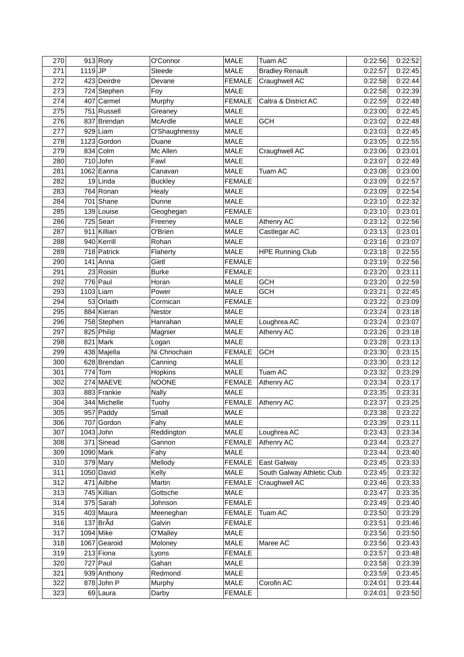| 270 |           | $913$ Rory              | O'Connor       | <b>MALE</b>   | Tuam AC                    | 0:22:56 | 0:22:52 |
|-----|-----------|-------------------------|----------------|---------------|----------------------------|---------|---------|
| 271 | $1119$ JP |                         | Steede         | <b>MALE</b>   | <b>Bradley Renault</b>     | 0:22:57 | 0:22:45 |
| 272 |           | 423 Deirdre             | Devane         | <b>FEMALE</b> | Craughwell AC              | 0:22:58 | 0:22:44 |
| 273 |           | 724 Stephen             | Foy            | <b>MALE</b>   |                            | 0:22:58 | 0:22:39 |
| 274 |           | 407 Carmel              | Murphy         | <b>FEMALE</b> | Caltra & District AC       | 0:22:59 | 0:22:48 |
| 275 |           | 751 Russell             | Greaney        | <b>MALE</b>   |                            | 0:23:00 | 0:22:45 |
| 276 |           | 837 Brendan             | McArdle        | <b>MALE</b>   | <b>GCH</b>                 | 0:23:02 | 0:22:48 |
| 277 |           | $929$ Liam              | O'Shaughnessy  | <b>MALE</b>   |                            | 0:23:03 | 0:22:45 |
| 278 |           | 1123 Gordon             | Duane          | <b>MALE</b>   |                            | 0:23:05 | 0:22:55 |
| 279 | 834       | Colm                    | Mc Allen       | <b>MALE</b>   | Craughwell AC              | 0:23:06 | 0:23:01 |
| 280 |           | $710$ John              | Fawl           | <b>MALE</b>   |                            | 0:23:07 | 0:22:49 |
| 281 |           | $1062$ Eanna            | Canavan        | <b>MALE</b>   | Tuam AC                    | 0:23:08 | 0:23:00 |
| 282 |           | $19$  Linda             | <b>Buckley</b> | <b>FEMALE</b> |                            | 0:23:09 | 0:22:57 |
| 283 |           | 764 Ronan               | Healy          | <b>MALE</b>   |                            | 0:23:09 | 0:22:54 |
| 284 |           | $701$ Shane             | Dunne          | <b>MALE</b>   |                            | 0:23:10 | 0:22:32 |
| 285 |           | 139 Louise              | Geoghegan      | <b>FEMALE</b> |                            | 0:23:10 | 0:23:01 |
| 286 |           | $725$ Sean              | Freeney        | <b>MALE</b>   | Athenry AC                 | 0:23:12 | 0:22:56 |
| 287 |           | 911 Killian             | O'Brien        | <b>MALE</b>   | Castlegar AC               | 0:23:13 | 0:23:01 |
| 288 |           | 940 Kerrill             | Rohan          | <b>MALE</b>   |                            | 0:23:16 | 0:23:07 |
| 289 |           | 718 Patrick             | Flaherty       | <b>MALE</b>   | <b>HPE Running Club</b>    | 0:23:18 | 0:22:55 |
| 290 |           | $141$ Anna              | Gietl          | <b>FEMALE</b> |                            | 0:23:19 | 0:22:56 |
| 291 |           |                         |                |               |                            |         | 0:23:11 |
| 292 |           | 23 Roisin<br>$776$ Paul | <b>Burke</b>   | <b>FEMALE</b> | <b>GCH</b>                 | 0:23:20 | 0:22:59 |
|     |           |                         | Horan          | <b>MALE</b>   |                            | 0:23:20 |         |
| 293 |           | $1103$ Liam             | Power          | <b>MALE</b>   | <b>GCH</b>                 | 0:23:21 | 0:22:45 |
| 294 |           | 53 Orlaith              | Cormican       | <b>FEMALE</b> |                            | 0:23:22 | 0:23:09 |
| 295 |           | 884 Kieran              | Nestor         | <b>MALE</b>   |                            | 0:23:24 | 0:23:18 |
| 296 |           | 758 Stephen             | Hanrahan       | <b>MALE</b>   | Loughrea AC                | 0:23:24 | 0:23:07 |
| 297 |           | 825 Philip              | Magnier        | <b>MALE</b>   | Athenry AC                 | 0:23:26 | 0:23:18 |
| 298 |           | $821$ Mark              | Logan          | <b>MALE</b>   |                            | 0:23:28 | 0:23:13 |
| 299 |           | 438 Majella             | Ni Chriochain  | <b>FEMALE</b> | <b>GCH</b>                 | 0:23:30 | 0:23:15 |
| 300 |           | 628 Brendan             | Canning        | MALE          |                            | 0:23:30 | 0:23:12 |
| 301 | 774       | Tom                     | Hopkins        | <b>MALE</b>   | Tuam AC                    | 0:23:32 | 0:23:29 |
| 302 |           | 274 MAEVE               | <b>NOONE</b>   | <b>FEMALE</b> | Athenry AC                 | 0:23:34 | 0:23:17 |
| 303 |           | 883 Frankie             | <b>Nally</b>   | <b>MALE</b>   |                            | 0:23:35 | 0:23:31 |
| 304 |           | 344 Michelle            | Tuohy          | FEMALE        | Athenry AC                 | 0:23:37 | 0:23:25 |
| 305 |           | $957$ Paddy             | Small          | MALE          |                            | 0:23:38 | 0:23:22 |
| 306 | 707       | Gordon                  | Fahy           | MALE          |                            | 0:23:39 | 0:23:11 |
| 307 |           | $1043$ John             | Reddington     | MALE          | Loughrea AC                | 0:23:43 | 0:23:34 |
| 308 |           | 371 Sinead              | Gannon         | <b>FEMALE</b> | Athenry AC                 | 0:23:44 | 0:23:27 |
| 309 |           | $1090$ Mark             | Fahy           | <b>MALE</b>   |                            | 0:23:44 | 0:23:40 |
| 310 |           | $379$ Mary              | Mellody        | <b>FEMALE</b> | East Galway                | 0:23:45 | 0:23:33 |
| 311 |           | $1050$ David            | Kelly          | <b>MALE</b>   | South Galway Athletic Club | 0:23:45 | 0:23:32 |
| 312 |           | 471 Ailbhe              | Martin         | <b>FEMALE</b> | Craughwell AC              | 0:23:46 | 0:23:33 |
| 313 |           | 745 Killian             | Gottsche       | <b>MALE</b>   |                            | 0:23:47 | 0:23:35 |
| 314 |           | 375 Sarah               | Johnson        | <b>FEMALE</b> |                            | 0:23:49 | 0:23:40 |
| 315 |           | $403$ Maura             | Meeneghan      | <b>FEMALE</b> | Tuam AC                    | 0:23:50 | 0:23:29 |
| 316 |           | $137$ Br $\tilde{A}$ d  | Galvin         | <b>FEMALE</b> |                            | 0:23:51 | 0:23:46 |
| 317 |           | 1094 Mike               | O'Malley       | <b>MALE</b>   |                            | 0:23:56 | 0:23:50 |
| 318 |           | 1067 Gearoid            | Moloney        | <b>MALE</b>   | Maree AC                   | 0:23:56 | 0:23:43 |
| 319 |           | $213$ Fiona             | Lyons          | <b>FEMALE</b> |                            | 0:23:57 | 0:23:48 |
| 320 |           | $727$ Paul              | Gahan          | MALE          |                            | 0:23:58 | 0:23:39 |
| 321 |           | 939 Anthony             | Redmond        | <b>MALE</b>   |                            | 0:23:59 | 0:23:45 |
| 322 |           | $878$ John P            | Murphy         | <b>MALE</b>   | Corofin AC                 | 0:24:01 | 0:23:44 |
| 323 |           | 69 Laura                | Darby          | <b>FEMALE</b> |                            | 0:24:01 | 0:23:50 |
|     |           |                         |                |               |                            |         |         |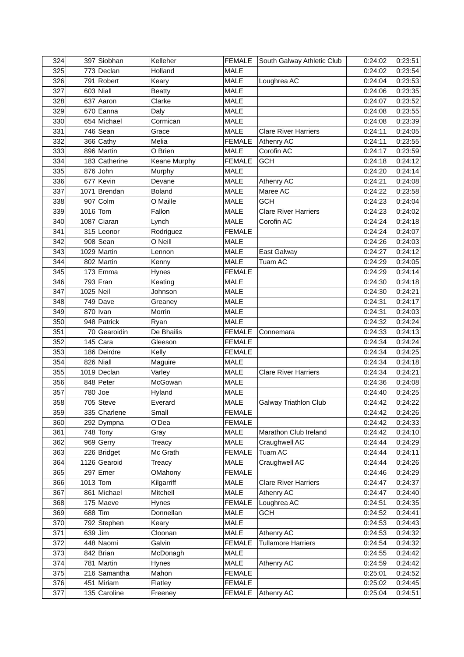| 324 |            | 397 Siobhan   | Kelleher      | <b>FEMALE</b> | South Galway Athletic Club   | 0:24:02 | 0:23:51 |
|-----|------------|---------------|---------------|---------------|------------------------------|---------|---------|
| 325 |            | 773 Declan    | Holland       | <b>MALE</b>   |                              | 0:24:02 | 0:23:54 |
| 326 |            | 791 Robert    | Keary         | <b>MALE</b>   | Loughrea AC                  | 0:24:04 | 0:23:53 |
| 327 |            | $603$ Niall   | <b>Beatty</b> | <b>MALE</b>   |                              | 0:24:06 | 0:23:35 |
| 328 |            | 637 Aaron     | Clarke        | <b>MALE</b>   |                              | 0:24:07 | 0:23:52 |
| 329 |            | 670 Eanna     | Daly          | <b>MALE</b>   |                              | 0:24:08 | 0:23:55 |
| 330 |            | 654 Michael   | Cormican      | <b>MALE</b>   |                              | 0:24:08 | 0:23:39 |
| 331 |            | $746$ Sean    | Grace         | <b>MALE</b>   | <b>Clare River Harriers</b>  | 0:24:11 | 0:24:05 |
| 332 |            | $366$ Cathy   | Melia         | <b>FEMALE</b> | Athenry AC                   | 0:24:11 | 0:23:55 |
| 333 |            | 896 Martin    | O Brien       | <b>MALE</b>   | Corofin AC                   | 0:24:17 | 0:23:59 |
| 334 |            | 183 Catherine | Keane Murphy  | <b>FEMALE</b> | <b>GCH</b>                   | 0:24:18 | 0:24:12 |
| 335 |            | $876$ John    | Murphy        | <b>MALE</b>   |                              | 0:24:20 | 0:24:14 |
| 336 |            | 677 Kevin     | Devane        | <b>MALE</b>   | Athenry AC                   | 0:24:21 | 0:24:08 |
| 337 |            | 1071 Brendan  | <b>Boland</b> | <b>MALE</b>   | Maree AC                     | 0:24:22 | 0:23:58 |
| 338 |            | $907$ Colm    | O Maille      | <b>MALE</b>   | <b>GCH</b>                   | 0:24:23 | 0:24:04 |
| 339 | $1016$ Tom |               | Fallon        | <b>MALE</b>   | <b>Clare River Harriers</b>  | 0:24:23 | 0:24:02 |
| 340 |            | 1087 Ciaran   | Lynch         | <b>MALE</b>   | Corofin AC                   | 0:24:24 | 0:24:18 |
| 341 |            | 315 Leonor    | Rodriguez     | <b>FEMALE</b> |                              | 0:24:24 | 0:24:07 |
| 342 |            | $908$ Sean    | O Neill       | <b>MALE</b>   |                              | 0:24:26 | 0:24:03 |
| 343 |            | 1029 Martin   | Lennon        | <b>MALE</b>   | East Galway                  | 0:24:27 | 0:24:12 |
| 344 |            | 802 Martin    | Kenny         | <b>MALE</b>   | Tuam AC                      | 0:24:29 | 0:24:05 |
| 345 |            | $173$ Emma    | Hynes         | <b>FEMALE</b> |                              | 0:24:29 | 0:24:14 |
| 346 |            | $793$ Fran    | Keating       | <b>MALE</b>   |                              | 0:24:30 | 0:24:18 |
| 347 | 1025 Neil  |               | Johnson       | <b>MALE</b>   |                              | 0:24:30 | 0:24:21 |
| 348 |            | $749$ Dave    | Greaney       | <b>MALE</b>   |                              | 0:24:31 | 0:24:17 |
| 349 |            | $870$ Ivan    | Morrin        | <b>MALE</b>   |                              | 0:24:31 | 0:24:03 |
| 350 |            | 948 Patrick   | Ryan          | <b>MALE</b>   |                              | 0:24:32 | 0:24:24 |
| 351 |            | 70 Gearoidin  | De Bhailis    | <b>FEMALE</b> | Connemara                    | 0:24:33 | 0:24:13 |
| 352 |            | $145$ Cara    | Gleeson       | <b>FEMALE</b> |                              | 0:24:34 | 0:24:24 |
| 353 |            | 186 Deirdre   | Kelly         | <b>FEMALE</b> |                              | 0:24:34 | 0:24:25 |
| 354 |            | 826 Niall     | Maguire       | <b>MALE</b>   |                              | 0:24:34 | 0:24:18 |
| 355 |            | 1019 Declan   | Varley        | <b>MALE</b>   | <b>Clare River Harriers</b>  | 0:24:34 | 0:24:21 |
| 356 |            | 848 Peter     | McGowan       | <b>MALE</b>   |                              | 0:24:36 | 0:24:08 |
| 357 | $780$ Joe  |               |               | <b>MALE</b>   |                              |         | 0:24:25 |
|     |            | $705$ Steve   | Hyland        | MALE          |                              | 0:24:40 |         |
| 358 |            |               | Everard       |               | <b>Galway Triathlon Club</b> | 0:24:42 | 0:24:22 |
| 359 |            | 335 Charlene  | Small         | <b>FEMALE</b> |                              | 0:24:42 | 0:24:26 |
| 360 |            | 292 Dympna    | O'Dea         | <b>FEMALE</b> |                              | 0:24:42 | 0:24:33 |
| 361 |            | $748$ Tony    | Gray          | MALE          | Marathon Club Ireland        | 0:24:42 | 0:24:10 |
| 362 |            | 969 Gerry     | Treacy        | <b>MALE</b>   | Craughwell AC                | 0:24:44 | 0:24:29 |
| 363 |            | 226 Bridget   | Mc Grath      | <b>FEMALE</b> | Tuam AC                      | 0:24:44 | 0:24:11 |
| 364 |            | 1126 Gearoid  | Treacy        | MALE          | Craughwell AC                | 0:24:44 | 0:24:26 |
| 365 |            | $297$ Emer    | OMahony       | <b>FEMALE</b> |                              | 0:24:46 | 0:24:29 |
| 366 | $1013$ Tom |               | Kilgarriff    | <b>MALE</b>   | <b>Clare River Harriers</b>  | 0:24:47 | 0:24:37 |
| 367 |            | 861 Michael   | Mitchell      | <b>MALE</b>   | Athenry AC                   | 0:24:47 | 0:24:40 |
| 368 |            | $175$ Maeve   | Hynes         | <b>FEMALE</b> | Loughrea AC                  | 0:24:51 | 0:24:35 |
| 369 | $688$  Tim |               | Donnellan     | <b>MALE</b>   | <b>GCH</b>                   | 0:24:52 | 0:24:41 |
| 370 |            | 792 Stephen   | Keary         | <b>MALE</b>   |                              | 0:24:53 | 0:24:43 |
| 371 | $639$ Jim  |               | Cloonan       | MALE          | Athenry AC                   | 0:24:53 | 0:24:32 |
| 372 |            | 448 Naomi     | Galvin        | <b>FEMALE</b> | <b>Tullamore Harriers</b>    | 0:24:54 | 0:24:32 |
| 373 |            | $842$ Brian   | McDonagh      | MALE          |                              | 0:24:55 | 0:24:42 |
| 374 |            | 781 Martin    | Hynes         | <b>MALE</b>   | Athenry AC                   | 0:24:59 | 0:24:42 |
| 375 |            | 216 Samantha  | Mahon         | <b>FEMALE</b> |                              | 0:25:01 | 0:24:52 |
| 376 |            | 451 Miriam    | Flatley       | <b>FEMALE</b> |                              | 0:25:02 | 0:24:45 |
| 377 |            | 135 Caroline  | Freeney       | <b>FEMALE</b> | Athenry AC                   | 0:25:04 | 0:24:51 |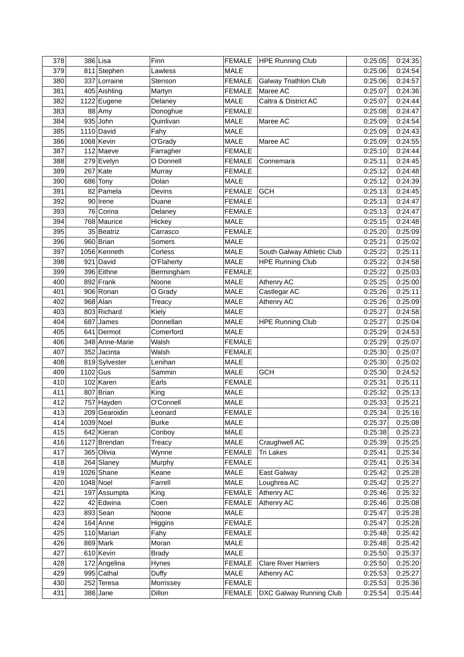| 378 |             | 386 Lisa       | Finn            |               | FEMALE   HPE Running Club    | 0:25:05 | 0:24:35 |
|-----|-------------|----------------|-----------------|---------------|------------------------------|---------|---------|
| 379 |             | 811 Stephen    | Lawless         | <b>MALE</b>   |                              | 0:25:06 | 0:24:54 |
| 380 |             | 337 Lorraine   | Stenson         | <b>FEMALE</b> | <b>Galway Triathlon Club</b> | 0:25:06 | 0:24:57 |
| 381 |             | 405 Aishling   | Martyn          | <b>FEMALE</b> | Maree AC                     | 0:25:07 | 0:24:36 |
| 382 |             | 1122 Eugene    | Delaney         | <b>MALE</b>   | Caltra & District AC         | 0:25:07 | 0:24:44 |
| 383 |             | 88 Amy         | Donoghue        | <b>FEMALE</b> |                              | 0:25:08 | 0:24:47 |
| 384 |             | $935$ John     | Quinlivan       | <b>MALE</b>   | Maree AC                     | 0:25:09 | 0:24:54 |
| 385 |             | $1110$ David   | Fahy            | <b>MALE</b>   |                              | 0:25:09 | 0:24:43 |
| 386 |             | $1068$ Kevin   | O'Grady         | <b>MALE</b>   | Maree AC                     | 0:25:09 | 0:24:55 |
| 387 |             | 112 Maeve      | Farragher       | <b>FEMALE</b> |                              | 0:25:10 | 0:24:44 |
| 388 |             | 279 Evelyn     | O Donnell       | <b>FEMALE</b> | Connemara                    | 0:25:11 | 0:24:45 |
| 389 |             | $267$ Kate     | Murray          | <b>FEMALE</b> |                              | 0:25:12 | 0:24:48 |
| 390 |             | 686 Tony       | Dolan           | <b>MALE</b>   |                              | 0:25:12 | 0:24:39 |
| 391 |             | 82 Pamela      | Devins          | <b>FEMALE</b> | <b>GCH</b>                   | 0:25:13 | 0:24:45 |
| 392 |             | 90 Irene       | Duane           | <b>FEMALE</b> |                              | 0:25:13 | 0:24:47 |
| 393 |             | 76 Corina      | Delaney         | <b>FEMALE</b> |                              | 0:25:13 | 0:24:47 |
| 394 |             | 768 Maurice    | Hickey          | <b>MALE</b>   |                              | 0:25:15 | 0:24:48 |
| 395 |             | 35 Beatriz     | Carrasco        | <b>FEMALE</b> |                              | 0:25:20 | 0:25:09 |
| 396 |             | 960 Brian      | Somers          | <b>MALE</b>   |                              | 0:25:21 | 0:25:02 |
| 397 |             | 1056 Kenneth   | Corless         | <b>MALE</b>   | South Galway Athletic Club   | 0:25:22 | 0:25:11 |
| 398 |             | $921$ David    | O'Flaherty      | <b>MALE</b>   | <b>HPE Running Club</b>      | 0:25:22 | 0:24:58 |
| 399 |             | 396 Eithne     | Bermingham      | <b>FEMALE</b> |                              | 0:25:22 | 0:25:03 |
| 400 |             | 892 Frank      | Noone           | <b>MALE</b>   | Athenry AC                   | 0:25:25 | 0:25:00 |
| 401 |             | 906 Ronan      | O Grady         | <b>MALE</b>   | Castlegar AC                 | 0:25:26 | 0:25:11 |
| 402 |             | $968$ Alan     |                 | <b>MALE</b>   | Athenry AC                   | 0:25:26 | 0:25:09 |
| 403 |             | 803 Richard    | Treacy<br>Kiely | <b>MALE</b>   |                              | 0:25:27 | 0:24:58 |
| 404 |             |                |                 |               |                              |         | 0:25:04 |
|     |             | 687 James      | Donnellan       | <b>MALE</b>   | <b>HPE Running Club</b>      | 0:25:27 |         |
| 405 |             | 641 Dermot     | Comerford       | <b>MALE</b>   |                              | 0:25:29 | 0:24:53 |
| 406 |             | 348 Anne-Marie | Walsh           | <b>FEMALE</b> |                              | 0:25:29 | 0:25:07 |
| 407 |             | 352 Jacinta    | Walsh           | <b>FEMALE</b> |                              | 0:25:30 | 0:25:07 |
| 408 |             | 819 Sylvester  | Lenihan         | <b>MALE</b>   |                              | 0:25:30 | 0:25:02 |
| 409 | $1102$ Gus  |                | Sammin          | <b>MALE</b>   | <b>GCH</b>                   | 0:25:30 | 0:24:52 |
| 410 |             | $102$ Karen    | Earls           | <b>FEMALE</b> |                              | 0:25:31 | 0:25:11 |
| 411 |             | 807 Brian      | King            | <b>MALE</b>   |                              | 0:25:32 | 0:25:13 |
| 412 |             | 757 Hayden     | O'Connell       | <b>MALE</b>   |                              | 0:25:33 | 0:25:21 |
| 413 |             | 209 Gearoidin  | Leonard         | <b>FEMALE</b> |                              | 0:25:34 | 0:25:16 |
| 414 | $1039$ Noel |                | <b>Burke</b>    | <b>MALE</b>   |                              | 0:25:37 | 0:25:08 |
| 415 |             | 642 Kieran     | Conboy          | MALE          |                              | 0:25:38 | 0:25:23 |
| 416 |             | 1127 Brendan   | Treacy          | MALE          | Craughwell AC                | 0:25:39 | 0:25:25 |
| 417 |             | 365 Olivia     | Wynne           | <b>FEMALE</b> | <b>Tri Lakes</b>             | 0:25:41 | 0:25:34 |
| 418 |             | $264$ Slaney   | Murphy          | <b>FEMALE</b> |                              | 0:25:41 | 0:25:34 |
| 419 |             | $1026$ Shane   | Keane           | MALE          | East Galway                  | 0:25:42 | 0:25:28 |
| 420 | $1048$ Noel |                | Farrell         | MALE          | Loughrea AC                  | 0:25:42 | 0:25:27 |
| 421 |             | 197 Assumpta   | King            | <b>FEMALE</b> | Athenry AC                   | 0:25:46 | 0:25:32 |
| 422 |             | 42 Edwina      | Coen            | <b>FEMALE</b> | Athenry AC                   | 0:25:46 | 0:25:08 |
| 423 |             | $893$ Sean     | Noone           | <b>MALE</b>   |                              | 0:25:47 | 0:25:28 |
| 424 |             | $164$ Anne     | Higgins         | <b>FEMALE</b> |                              | 0:25:47 | 0:25:28 |
| 425 |             | 110 Marian     | Fahy            | <b>FEMALE</b> |                              | 0:25:48 | 0:25:42 |
| 426 |             | $869$ Mark     | Moran           | <b>MALE</b>   |                              | 0:25:48 | 0:25:42 |
| 427 |             | 610 Kevin      | <b>Brady</b>    | <b>MALE</b>   |                              | 0:25:50 | 0:25:37 |
| 428 |             | 172 Angelina   | Hynes           | <b>FEMALE</b> | <b>Clare River Harriers</b>  | 0:25:50 | 0:25:20 |
| 429 |             | 995 Cathal     | Duffy           | MALE          | Athenry AC                   | 0:25:53 | 0:25:27 |
| 430 |             | 252 Teresa     | Morrissey       | <b>FEMALE</b> |                              | 0:25:53 | 0:25:36 |
| 431 |             | $388$ Jane     | Dillon          | <b>FEMALE</b> | DXC Galway Running Club      | 0:25:54 | 0:25:44 |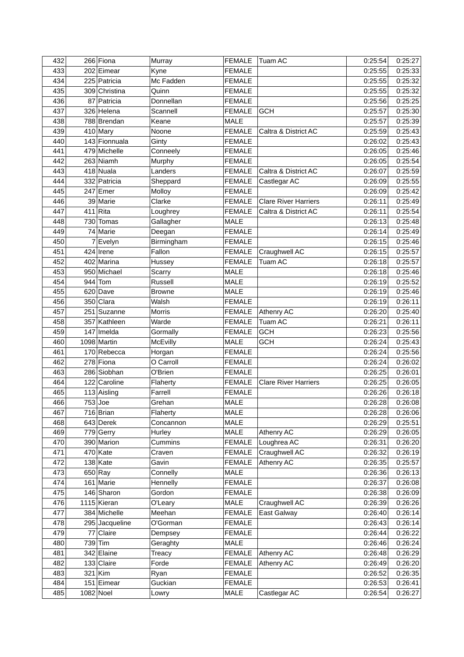| 432 | 266 Fiona      | Murray        | <b>FEMALE</b> | <b>Tuam AC</b>              | 0:25:54 | 0:25:27 |
|-----|----------------|---------------|---------------|-----------------------------|---------|---------|
| 433 | 202 Eimear     | Kyne          | <b>FEMALE</b> |                             | 0:25:55 | 0:25:33 |
| 434 | 225 Patricia   | Mc Fadden     | <b>FEMALE</b> |                             | 0:25:55 | 0:25:32 |
| 435 | 309 Christina  | Quinn         | <b>FEMALE</b> |                             | 0:25:55 | 0:25:32 |
| 436 | 87 Patricia    | Donnellan     | <b>FEMALE</b> |                             | 0:25:56 | 0:25:25 |
| 437 | 326 Helena     | Scannell      | <b>FEMALE</b> | <b>GCH</b>                  | 0:25:57 | 0:25:30 |
| 438 | 788 Brendan    | Keane         | <b>MALE</b>   |                             | 0:25:57 | 0:25:39 |
| 439 | $410$ Mary     | Noone         | <b>FEMALE</b> | Caltra & District AC        | 0:25:59 | 0:25:43 |
| 440 | 143 Fionnuala  | Ginty         | <b>FEMALE</b> |                             | 0:26:02 | 0:25:43 |
| 441 | 479 Michelle   | Conneely      | <b>FEMALE</b> |                             | 0:26:05 | 0:25:46 |
| 442 | 263 Niamh      | Murphy        | <b>FEMALE</b> |                             | 0:26:05 | 0:25:54 |
| 443 | 418 Nuala      | Landers       | <b>FEMALE</b> | Caltra & District AC        | 0:26:07 | 0:25:59 |
| 444 | 332 Patricia   | Sheppard      | <b>FEMALE</b> | Castlegar AC                | 0:26:09 | 0:25:55 |
| 445 | $247$ Emer     | Molloy        | <b>FEMALE</b> |                             | 0:26:09 | 0:25:42 |
| 446 | 39 Marie       | Clarke        | <b>FEMALE</b> | <b>Clare River Harriers</b> | 0:26:11 | 0:25:49 |
| 447 | $411$ Rita     | Loughrey      | <b>FEMALE</b> | Caltra & District AC        | 0:26:11 | 0:25:54 |
| 448 | 730 Tomas      | Gallagher     | <b>MALE</b>   |                             | 0:26:13 | 0:25:48 |
| 449 | 74 Marie       | Deegan        | <b>FEMALE</b> |                             | 0:26:14 | 0:25:49 |
| 450 | 7 Evelyn       | Birmingham    | <b>FEMALE</b> |                             | 0:26:15 | 0:25:46 |
| 451 | $424$ Irene    | Fallon        | <b>FEMALE</b> | Craughwell AC               | 0:26:15 | 0:25:57 |
| 452 | 402 Marina     |               | <b>FEMALE</b> | Tuam AC                     | 0:26:18 | 0:25:57 |
| 453 | 950 Michael    | Hussey        |               |                             |         | 0:25:46 |
| 454 |                | Scarry        | <b>MALE</b>   |                             | 0:26:18 |         |
| 455 | $944$ Tom      | Russell       | <b>MALE</b>   |                             | 0:26:19 | 0:25:52 |
|     | $620$ Dave     | <b>Browne</b> | <b>MALE</b>   |                             | 0:26:19 | 0:25:46 |
| 456 | 350 Clara      | Walsh         | <b>FEMALE</b> |                             | 0:26:19 | 0:26:11 |
| 457 | 251 Suzanne    | Morris        | <b>FEMALE</b> | Athenry AC                  | 0:26:20 | 0:25:40 |
| 458 | 357 Kathleen   | Warde         | <b>FEMALE</b> | Tuam AC                     | 0:26:21 | 0:26:11 |
| 459 | $147$  Imelda  | Gormally      | <b>FEMALE</b> | <b>GCH</b>                  | 0:26:23 | 0:25:56 |
| 460 | 1098 Martin    | McEvilly      | <b>MALE</b>   | <b>GCH</b>                  | 0:26:24 | 0:25:43 |
| 461 | 170 Rebecca    | Horgan        | <b>FEMALE</b> |                             | 0:26:24 | 0:25:56 |
| 462 | 278 Fiona      | O Carroll     | <b>FEMALE</b> |                             | 0:26:24 | 0:26:02 |
| 463 | 286 Siobhan    | O'Brien       | <b>FEMALE</b> |                             | 0:26:25 | 0:26:01 |
| 464 | 122 Caroline   | Flaherty      | <b>FEMALE</b> | <b>Clare River Harriers</b> | 0:26:25 | 0:26:05 |
| 465 | $113$ Aisling  | Farrell       | <b>FEMALE</b> |                             | 0:26:26 | 0:26:18 |
| 466 | $753$ Joe      | Grehan        | <b>MALE</b>   |                             | 0:26:28 | 0:26:08 |
| 467 | $716$ Brian    | Flaherty      | <b>MALE</b>   |                             | 0:26:28 | 0:26:06 |
| 468 | 643 Derek      | Concannon     | <b>MALE</b>   |                             | 0:26:29 | 0:25:51 |
| 469 | 779 Gerry      | Hurley        | <b>MALE</b>   | Athenry AC                  | 0:26:29 | 0:26:05 |
| 470 | 390 Marion     | Cummins       | <b>FEMALE</b> | Loughrea AC                 | 0:26:31 | 0:26:20 |
| 471 | $470$ Kate     | Craven        | <b>FEMALE</b> | Craughwell AC               | 0:26:32 | 0:26:19 |
| 472 | $138$ Kate     | Gavin         | <b>FEMALE</b> | Athenry AC                  | 0:26:35 | 0:25:57 |
| 473 | $650$ Ray      | Connelly      | <b>MALE</b>   |                             | 0:26:36 | 0:26:13 |
| 474 | 161 Marie      | Hennelly      | <b>FEMALE</b> |                             | 0:26:37 | 0:26:08 |
| 475 | 146 Sharon     | Gordon        | <b>FEMALE</b> |                             | 0:26:38 | 0:26:09 |
| 476 | 1115 Kieran    | O'Leary       | <b>MALE</b>   | Craughwell AC               | 0:26:39 | 0:26:26 |
| 477 | 384 Michelle   | Meehan        | <b>FEMALE</b> | East Galway                 | 0:26:40 | 0:26:14 |
| 478 | 295 Jacqueline | O'Gorman      | <b>FEMALE</b> |                             | 0:26:43 | 0:26:14 |
| 479 | 77 Claire      | Dempsey       | <b>FEMALE</b> |                             | 0:26:44 | 0:26:22 |
| 480 | 739 Tim        | Geraghty      | <b>MALE</b>   |                             | 0:26:46 | 0:26:24 |
| 481 | 342 Elaine     | Treacy        | <b>FEMALE</b> | Athenry AC                  | 0:26:48 | 0:26:29 |
| 482 | 133 Claire     | Forde         | <b>FEMALE</b> | Athenry AC                  | 0:26:49 | 0:26:20 |
| 483 | $321$ Kim      | Ryan          | <b>FEMALE</b> |                             | 0:26:52 | 0:26:35 |
| 484 | 151 Eimear     | Guckian       | <b>FEMALE</b> |                             | 0:26:53 | 0:26:41 |
| 485 | $1082$ Noel    | Lowry         | <b>MALE</b>   | Castlegar AC                | 0:26:54 | 0:26:27 |
|     |                |               |               |                             |         |         |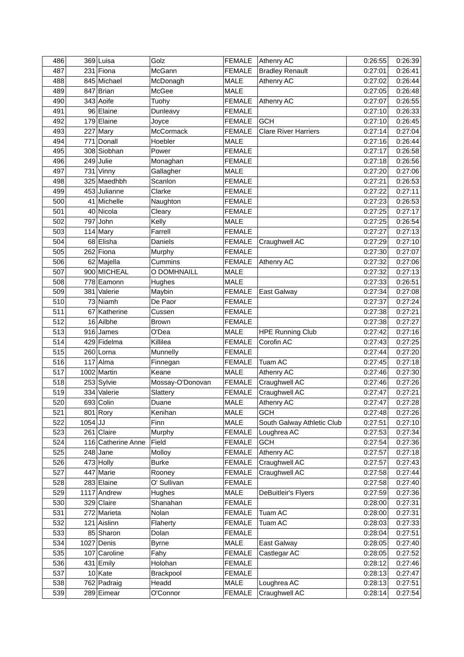| 486        |           | 369 Luisa                 | Golz              | <b>FEMALE</b>                | <b>Athenry AC</b>                     | 0:26:55            | 0:26:39            |
|------------|-----------|---------------------------|-------------------|------------------------------|---------------------------------------|--------------------|--------------------|
| 487        |           | 231 Fiona                 | McGann            | <b>FEMALE</b>                | <b>Bradley Renault</b>                | 0:27:01            | 0:26:41            |
| 488        |           | 845 Michael               | McDonagh          | <b>MALE</b>                  | Athenry AC                            | 0:27:02            | 0:26:44            |
| 489        |           | 847 Brian                 | McGee             | <b>MALE</b>                  |                                       | 0:27:05            | 0:26:48            |
| 490        |           | 343 Aoife                 | Tuohy             | <b>FEMALE</b>                | Athenry AC                            | 0:27:07            | 0:26:55            |
| 491        |           | 96 Elaine                 | Dunleavy          | <b>FEMALE</b>                |                                       | 0:27:10            | 0:26:33            |
| 492        |           | 179 Elaine                | Joyce             | <b>FEMALE</b>                | <b>GCH</b>                            | 0:27:10            | 0:26:45            |
| 493        |           | $227$ Mary                | <b>McCormack</b>  | <b>FEMALE</b>                | <b>Clare River Harriers</b>           | 0:27:14            | 0:27:04            |
| 494        |           | 771 Donall                | Hoebler           | <b>MALE</b>                  |                                       | 0:27:16            | 0:26:44            |
| 495        |           | 308 Siobhan               | Power             | <b>FEMALE</b>                |                                       | 0:27:17            | 0:26:58            |
| 496        |           | $249$ Julie               | Monaghan          | <b>FEMALE</b>                |                                       | 0:27:18            | 0:26:56            |
| 497        |           | $731$ Vinny               | Gallagher         | <b>MALE</b>                  |                                       | 0:27:20            | 0:27:06            |
| 498        |           | 325 Maedhbh               | Scanlon           | <b>FEMALE</b>                |                                       | 0:27:21            | 0:26:53            |
| 499        |           | 453 Julianne              | Clarke            | <b>FEMALE</b>                |                                       | 0:27:22            | 0:27:11            |
| 500        |           | 41 Michelle               | Naughton          | <b>FEMALE</b>                |                                       | 0:27:23            | 0:26:53            |
| 501        |           | 40 Nicola                 | Cleary            | <b>FEMALE</b>                |                                       | 0:27:25            | 0:27:17            |
| 502        |           | 797 John                  | Kelly             | <b>MALE</b>                  |                                       | 0:27:25            | 0:26:54            |
| 503        |           | $114$ Mary                | Farrell           | <b>FEMALE</b>                |                                       | 0:27:27            | 0:27:13            |
| 504        |           | 68 Elisha                 | Daniels           | <b>FEMALE</b>                | Craughwell AC                         | 0:27:29            | 0:27:10            |
| 505        |           | 262 Fiona                 | Murphy            | <b>FEMALE</b>                |                                       | 0:27:30            | 0:27:07            |
| 506        |           | 62 Majella                | Cummins           | <b>FEMALE</b>                | Athenry AC                            | 0:27:32            | 0:27:06            |
| 507        |           | 900 MICHEAL               | O DOMHNAILL       | <b>MALE</b>                  |                                       | 0:27:32            | 0:27:13            |
| 508        |           | 778 Eamonn                | Hughes            | <b>MALE</b>                  |                                       | 0:27:33            | 0:26:51            |
| 509        |           | 381 Valerie               | Maybin            | <b>FEMALE</b>                | East Galway                           | 0:27:34            | 0:27:08            |
| 510        |           | 73 Niamh                  | De Paor           | <b>FEMALE</b>                |                                       | 0:27:37            | 0:27:24            |
| 511        |           | 67 Katherine              | Cussen            | <b>FEMALE</b>                |                                       | 0:27:38            | 0:27:21            |
| 512        |           | 16 Ailbhe                 | Brown             | <b>FEMALE</b>                |                                       | 0:27:38            | 0:27:27            |
| 513        |           | $916$ James               | O'Dea             | <b>MALE</b>                  |                                       |                    | 0:27:16            |
| 514        |           | 429 Fidelma               | Killilea          | <b>FEMALE</b>                | <b>HPE Running Club</b><br>Corofin AC | 0:27:42            | 0:27:25            |
|            |           |                           |                   |                              |                                       | 0:27:43            |                    |
| 515        |           | 260 Lorna                 | Munnelly          | <b>FEMALE</b>                |                                       | 0:27:44            | 0:27:20            |
| 516        |           | $117$ Alma                | Finnegan          | <b>FEMALE</b>                | Tuam AC                               | 0:27:45            | 0:27:18            |
| 517        |           | 1002 Martin               | Keane             | <b>MALE</b>                  | Athenry AC<br>Craughwell AC           | 0:27:46            | 0:27:30            |
| 518        |           | 253 Sylvie                | Mossay-O'Donovan  | <b>FEMALE</b>                |                                       | 0:27:46            | 0:27:26            |
| 519        |           | 334 Valerie               | Slattery          | <b>FEMALE</b>                | Craughwell AC                         | 0:27:47            | 0:27:21            |
| 520        |           | 693 Colin                 | Duane             | <b>MALE</b>                  | <b>Athenry AC</b>                     | 0:27:47            | 0:27:28            |
| 521        |           | $801$ Rory                | Kenihan           | <b>MALE</b>                  | <b>GCH</b>                            | 0:27:48            | 0:27:26            |
| 522        | $1054$ JJ |                           | Finn              | <b>MALE</b>                  | South Galway Athletic Club            | 0:27:51            | 0:27:10            |
| 523        |           | $261$ Claire              | Murphy            | <b>FEMALE</b>                | Loughrea AC                           | 0:27:53            | 0:27:34            |
| 524        |           | 116 Catherine Anne        | Field             | <b>FEMALE</b>                | <b>GCH</b>                            | 0:27:54            | 0:27:36            |
| 525        |           | $248$ Jane                | Molloy            | <b>FEMALE</b>                | Athenry AC                            | 0:27:57            | 0:27:18            |
| 526        |           | 473 Holly                 | <b>Burke</b>      | <b>FEMALE</b>                | Craughwell AC                         | 0:27:57            | 0:27:43            |
| 527        |           | 447 Marie                 | Rooney            | <b>FEMALE</b>                | Craughwell AC                         | 0:27:58            | 0:27:44            |
| 528        |           | $283$ Elaine              | O' Sullivan       | <b>FEMALE</b>                |                                       | 0:27:58            | 0:27:40            |
| 529        |           | 1117 Andrew               | Hughes            | <b>MALE</b>                  | DeBuitleir's Flyers                   | 0:27:59            | 0:27:36            |
| 530        |           | 329 Claire                | Shanahan          | <b>FEMALE</b>                |                                       | 0:28:00            | 0:27:31            |
| 531        |           | 272 Marieta               | Nolan             | <b>FEMALE</b>                | Tuam AC                               | 0:28:00            | 0:27:31            |
| 532        |           | 121 Aislinn               | Flaherty          | <b>FEMALE</b>                | Tuam AC                               | 0:28:03            | 0:27:33            |
| 533        |           | 85 Sharon                 | Dolan             | <b>FEMALE</b>                |                                       | 0:28:04            | 0:27:51            |
| 534        |           | $1027$ Denis              | <b>Byrne</b>      | <b>MALE</b>                  | East Galway                           | 0:28:05            | 0:27:40            |
| 535        |           | 107 Caroline              | Fahy              | <b>FEMALE</b>                | Castlegar AC                          | 0:28:05            | 0:27:52            |
|            |           |                           |                   |                              |                                       |                    |                    |
| 536        |           | 431 Emily                 | Holohan           | <b>FEMALE</b>                |                                       | 0:28:12            | 0:27:46            |
| 537        |           | $10$ Kate                 | Brackpool         | <b>FEMALE</b>                |                                       | 0:28:13            | 0:27:47            |
| 538<br>539 |           | 762 Padraig<br>289 Eimear | Headd<br>O'Connor | <b>MALE</b><br><b>FEMALE</b> | Loughrea AC<br>Craughwell AC          | 0:28:13<br>0:28:14 | 0:27:51<br>0:27:54 |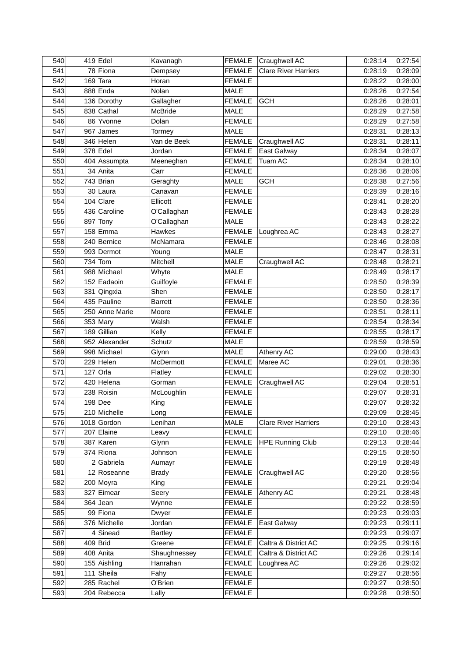| 540        |     | $419$ Edel              | Kavanagh       | <b>FEMALE</b> | Craughwell AC               | 0:28:14            | 0:27:54            |
|------------|-----|-------------------------|----------------|---------------|-----------------------------|--------------------|--------------------|
| 541        |     | 78 Fiona                | Dempsey        | <b>FEMALE</b> | <b>Clare River Harriers</b> | 0:28:19            | 0:28:09            |
| 542        | 169 | Tara                    | Horan          | <b>FEMALE</b> |                             | 0:28:22            | 0:28:00            |
| 543        |     | $888$ Enda              | Nolan          | <b>MALE</b>   |                             | 0:28:26            | 0:27:54            |
| 544        |     | 136 Dorothy             | Gallagher      | <b>FEMALE</b> | <b>GCH</b>                  | 0:28:26            | 0:28:01            |
| 545        |     | 838 Cathal              | McBride        | <b>MALE</b>   |                             | 0:28:29            | 0:27:58            |
| 546        |     | 86 Yvonne               | Dolan          | <b>FEMALE</b> |                             | 0:28:29            | 0:27:58            |
| 547        |     | $967$ James             | Tormey         | <b>MALE</b>   |                             | 0:28:31            | 0:28:13            |
| 548        |     | 346 Helen               | Van de Beek    | <b>FEMALE</b> | Craughwell AC               | 0:28:31            | 0:28:11            |
| 549        |     | $378$ Edel              | Jordan         | <b>FEMALE</b> | East Galway                 | 0:28:34            | 0:28:07            |
| 550        |     | 404 Assumpta            | Meeneghan      | <b>FEMALE</b> | Tuam AC                     | 0:28:34            | 0:28:10            |
| 551        |     | 34 Anita                | Carr           | <b>FEMALE</b> |                             | 0:28:36            | 0:28:06            |
| 552        |     | 743 Brian               | Geraghty       | <b>MALE</b>   | <b>GCH</b>                  | 0:28:38            | 0:27:56            |
| 553        |     | 30 Laura                | Canavan        | <b>FEMALE</b> |                             | 0:28:39            | 0:28:16            |
| 554        |     | $104$ Clare             | Ellicott       | <b>FEMALE</b> |                             | 0:28:41            | 0:28:20            |
| 555        |     | 436 Caroline            | O'Callaghan    | <b>FEMALE</b> |                             | 0:28:43            | 0:28:28            |
| 556        | 897 | Tony                    | O'Callaghan    | <b>MALE</b>   |                             | 0:28:43            | 0:28:22            |
| 557        |     | $158$ Emma              | Hawkes         | <b>FEMALE</b> | Loughrea AC                 | 0:28:43            | 0:28:27            |
| 558        |     | 240 Bernice             | McNamara       | <b>FEMALE</b> |                             | 0:28:46            | 0:28:08            |
| 559        |     | 993 Dermot              | Young          | MALE          |                             | 0:28:47            | 0:28:31            |
| 560        | 734 | Tom                     | Mitchell       | <b>MALE</b>   | Craughwell AC               | 0:28:48            | 0:28:21            |
| 561        |     | 988 Michael             | Whyte          | <b>MALE</b>   |                             | 0:28:49            | 0:28:17            |
| 562        |     | 152 Eadaoin             | Guilfoyle      | <b>FEMALE</b> |                             | 0:28:50            | 0:28:39            |
| 563        |     | 331 Qingxia             | Shen           | <b>FEMALE</b> |                             | 0:28:50            | 0:28:17            |
| 564        |     | 435 Pauline             | <b>Barrett</b> | <b>FEMALE</b> |                             | 0:28:50            | 0:28:36            |
| 565        |     | 250 Anne Marie          | Moore          | <b>FEMALE</b> |                             | 0:28:51            | 0:28:11            |
| 566        |     | $353$ Mary              | Walsh          | <b>FEMALE</b> |                             | 0:28:54            | 0:28:34            |
| 567        |     | 189 Gillian             | Kelly          | <b>FEMALE</b> |                             | 0:28:55            | 0:28:17            |
| 568        |     | 952 Alexander           | Schutz         | MALE          |                             | 0:28:59            | 0:28:59            |
| 569        |     | 998 Michael             | Glynn          | <b>MALE</b>   | Athenry AC                  | 0:29:00            | 0:28:43            |
| 570        |     | 229 Helen               | McDermott      | <b>FEMALE</b> | Maree AC                    |                    | 0:28:36            |
| 571        |     | $127$ Orla              | Flatley        | <b>FEMALE</b> |                             | 0:29:01<br>0:29:02 | 0:28:30            |
| 572        |     | 420 Helena              | Gorman         | <b>FEMALE</b> | Craughwell AC               | 0:29:04            | 0:28:51            |
| 573        |     | 238 Roisin              | McLoughlin     | <b>FEMALE</b> |                             | 0:29:07            | 0:28:31            |
| 574        |     | $198$ Dee               | King           | <b>FEMALE</b> |                             | 0:29:07            | 0:28:32            |
| 575        |     | 210 Michelle            |                | <b>FEMALE</b> |                             |                    | 0:28:45            |
|            |     | 1018 Gordon             | Long           | <b>MALE</b>   |                             | 0:29:09            | 0:28:43            |
| 576        |     |                         | Lenihan        | <b>FEMALE</b> | <b>Clare River Harriers</b> | 0:29:10            |                    |
| 577<br>578 |     | 207 Elaine<br>387 Karen | Leavy          | <b>FEMALE</b> |                             | 0:29:10<br>0:29:13 | 0:28:46<br>0:28:44 |
|            |     |                         | Glynn          |               | <b>HPE Running Club</b>     |                    |                    |
| 579        |     | 374 Riona               | Johnson        | <b>FEMALE</b> |                             | 0:29:15            | 0:28:50            |
| 580        |     | $2 $ Gabriela           | Aumayr         | <b>FEMALE</b> |                             | 0:29:19            | 0:28:48            |
| 581        |     | $12$ Roseanne           | <b>Brady</b>   | <b>FEMALE</b> | Craughwell AC               | 0:29:20            | 0:28:56            |
| 582        |     | 200 Moyra               | King           | <b>FEMALE</b> |                             | 0:29:21            | 0:29:04            |
| 583        | 327 | Eimear                  | Seery          | <b>FEMALE</b> | Athenry AC                  | 0:29:21            | 0:28:48            |
| 584        | 364 | Jean                    | Wynne          | <b>FEMALE</b> |                             | 0:29:22            | 0:28:59            |
| 585        |     | 99 Fiona                | Dwyer          | <b>FEMALE</b> |                             | 0:29:23            | 0:29:03            |
| 586        |     | 376 Michelle            | Jordan         | <b>FEMALE</b> | East Galway                 | 0:29:23            | 0:29:11            |
| 587        |     | $4$ Sinead              | <b>Bartley</b> | <b>FEMALE</b> |                             | 0:29:23            | 0:29:07            |
| 588        |     | $409$ Brid              | Greene         | <b>FEMALE</b> | Caltra & District AC        | 0:29:25            | 0:29:16            |
| 589        |     | 408 Anita               | Shaughnessey   | <b>FEMALE</b> | Caltra & District AC        | 0:29:26            | 0:29:14            |
| 590        |     | 155 Aishling            | Hanrahan       | <b>FEMALE</b> | Loughrea AC                 | 0:29:26            | 0:29:02            |
| 591        |     | $111$ Sheila            | Fahy           | <b>FEMALE</b> |                             | 0:29:27            | 0:28:56            |
| 592        |     | 285 Rachel              | O'Brien        | <b>FEMALE</b> |                             | 0:29:27            | 0:28:50            |
| 593        |     | 204 Rebecca             | Lally          | <b>FEMALE</b> |                             | 0:29:28            | 0:28:50            |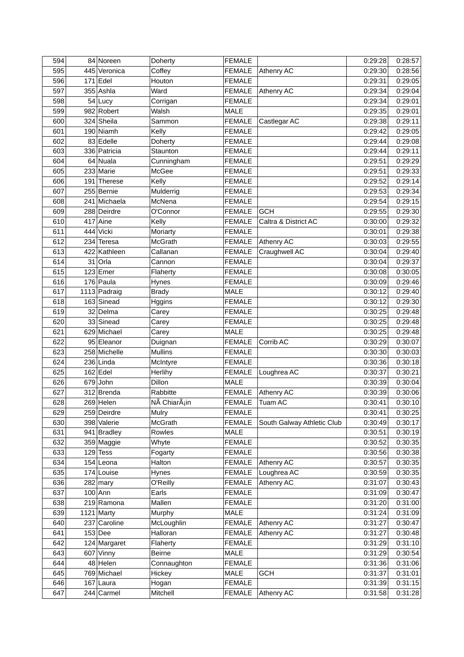| 594 | 84 Noreen    | Doherty                   | <b>FEMALE</b>                |                            | 0:29:28            | 0:28:57 |
|-----|--------------|---------------------------|------------------------------|----------------------------|--------------------|---------|
| 595 | 445 Veronica | Coffey                    | <b>FEMALE</b>                | Athenry AC                 | 0:29:30            | 0:28:56 |
| 596 | $171$ Edel   | Houton                    | <b>FEMALE</b>                |                            | 0:29:31            | 0:29:05 |
| 597 | 355 Ashla    | Ward                      | <b>FEMALE</b>                | Athenry AC                 | 0:29:34            | 0:29:04 |
| 598 | $54$ Lucy    | Corrigan                  | <b>FEMALE</b>                |                            | 0:29:34            | 0:29:01 |
| 599 | 982 Robert   | Walsh                     | <b>MALE</b>                  |                            | 0:29:35            | 0:29:01 |
| 600 | 324 Sheila   | Sammon                    | <b>FEMALE</b>                | Castlegar AC               | 0:29:38            | 0:29:11 |
| 601 | 190 Niamh    | Kelly                     | <b>FEMALE</b>                |                            | 0:29:42            | 0:29:05 |
| 602 | 83 Edelle    | Doherty                   | <b>FEMALE</b>                |                            | 0:29:44            | 0:29:08 |
| 603 | 336 Patricia | Staunton                  | <b>FEMALE</b>                |                            | 0:29:44            | 0:29:11 |
| 604 | 64 Nuala     | Cunningham                | <b>FEMALE</b>                |                            | 0:29:51            | 0:29:29 |
| 605 | 233 Marie    | McGee                     | <b>FEMALE</b>                |                            | 0:29:51            | 0:29:33 |
| 606 | 191 Therese  | Kelly                     | <b>FEMALE</b>                |                            | 0:29:52            | 0:29:14 |
| 607 | 255 Bernie   | Mulderrig                 | <b>FEMALE</b>                |                            | 0:29:53            | 0:29:34 |
| 608 | 241 Michaela | McNena                    | <b>FEMALE</b>                |                            | 0:29:54            | 0:29:15 |
| 609 | 288 Deirdre  | O'Connor                  | <b>FEMALE</b>                | <b>GCH</b>                 | 0:29:55            | 0:29:30 |
| 610 | $417$ Aine   | Kelly                     | <b>FEMALE</b>                | Caltra & District AC       | 0:30:00            | 0:29:32 |
| 611 | 444 Vicki    | Moriarty                  | <b>FEMALE</b>                |                            | 0:30:01            | 0:29:38 |
| 612 | 234 Teresa   | <b>McGrath</b>            | <b>FEMALE</b>                | Athenry AC                 | 0:30:03            | 0:29:55 |
| 613 | 422 Kathleen | Callanan                  | <b>FEMALE</b>                | Craughwell AC              | 0:30:04            | 0:29:40 |
| 614 | $31$ Orla    | Cannon                    | <b>FEMALE</b>                |                            | 0:30:04            | 0:29:37 |
| 615 | $123$ Emer   | Flaherty                  | <b>FEMALE</b>                |                            | 0:30:08            | 0:30:05 |
| 616 | $176$ Paula  | Hynes                     | <b>FEMALE</b>                |                            | 0:30:09            | 0:29:46 |
| 617 | 1113 Padraig | <b>Brady</b>              | <b>MALE</b>                  |                            | 0:30:12            | 0:29:40 |
| 618 | 163 Sinead   | Hggins                    | <b>FEMALE</b>                |                            | 0:30:12            | 0:29:30 |
| 619 | 32 Delma     | Carey                     | <b>FEMALE</b>                |                            | 0:30:25            | 0:29:48 |
| 620 | 33 Sinead    | Carey                     | <b>FEMALE</b>                |                            | 0:30:25            | 0:29:48 |
| 621 | 629 Michael  |                           | <b>MALE</b>                  |                            | 0:30:25            | 0:29:48 |
| 622 | 95 Eleanor   | Carey                     | <b>FEMALE</b>                | Corrib AC                  | 0:30:29            | 0:30:07 |
| 623 | 258 Michelle | Duignan<br><b>Mullins</b> | <b>FEMALE</b>                |                            |                    | 0:30:03 |
| 624 | $236$ Linda  |                           | <b>FEMALE</b>                |                            | 0:30:30            | 0:30:18 |
| 625 | $162$ Edel   | McIntyre                  |                              |                            | 0:30:36<br>0:30:37 | 0:30:21 |
|     |              | Herlihy<br>Dillon         | <b>FEMALE</b><br><b>MALE</b> | Loughrea AC                |                    |         |
| 626 | $679$ John   |                           |                              |                            | 0:30:39            | 0:30:04 |
| 627 | 312 Brenda   | Rabbitte                  | <b>FEMALE</b>                | Athenry AC                 | 0:30:39            | 0:30:06 |
| 628 | 269 Helen    | NÃ ChiarÃ <sub>i</sub> in | <b>FEMALE</b>                | Tuam AC                    | 0:30:41            | 0:30:10 |
| 629 | 259 Deirdre  | Mulry                     | <b>FEMALE</b>                |                            | 0:30:41            | 0:30:25 |
| 630 | 398 Valerie  | McGrath                   | <b>FEMALE</b>                | South Galway Athletic Club | 0:30:49            | 0:30:17 |
| 631 | 941 Bradley  | Rowles                    | <b>MALE</b>                  |                            | 0:30:51            | 0:30:19 |
| 632 | 359 Maggie   | Whyte                     | <b>FEMALE</b>                |                            | 0:30:52            | 0:30:35 |
| 633 | $129$ Tess   | Fogarty                   | <b>FEMALE</b>                |                            | 0:30:56            | 0:30:38 |
| 634 | $154$ Leona  | Halton                    | <b>FEMALE</b>                | Athenry AC                 | 0:30:57            | 0:30:35 |
| 635 | $174$ Louise | Hynes                     | <b>FEMALE</b>                | Loughrea AC                | 0:30:59            | 0:30:35 |
| 636 | $282$ mary   | O'Reilly                  | <b>FEMALE</b>                | Athenry AC                 | 0:31:07            | 0:30:43 |
| 637 | $100$ Ann    | Earls                     | <b>FEMALE</b>                |                            | 0:31:09            | 0:30:47 |
| 638 | 219 Ramona   | Mallen                    | <b>FEMALE</b>                |                            | 0:31:20            | 0:31:00 |
| 639 | $1121$ Marty | Murphy                    | <b>MALE</b>                  |                            | 0:31:24            | 0:31:09 |
| 640 | 237 Caroline | McLoughlin                | <b>FEMALE</b>                | Athenry AC                 | 0:31:27            | 0:30:47 |
| 641 | $153$ Dee    | Halloran                  | <b>FEMALE</b>                | Athenry AC                 | 0:31:27            | 0:30:48 |
| 642 | 124 Margaret | Flaherty                  | <b>FEMALE</b>                |                            | 0:31:29            | 0:31:10 |
| 643 | 607 Vinny    | <b>Beirne</b>             | MALE                         |                            | 0:31:29            | 0:30:54 |
| 644 | $48$ Helen   | Connaughton               | <b>FEMALE</b>                |                            | 0:31:36            | 0:31:06 |
| 645 | 769 Michael  | Hickey                    | MALE                         | <b>GCH</b>                 | 0:31:37            | 0:31:01 |
| 646 | $167$ Laura  | Hogan                     | <b>FEMALE</b>                |                            | 0:31:39            | 0:31:15 |
| 647 | 244 Carmel   | Mitchell                  | <b>FEMALE</b>                | Athenry AC                 | 0:31:58            | 0:31:28 |